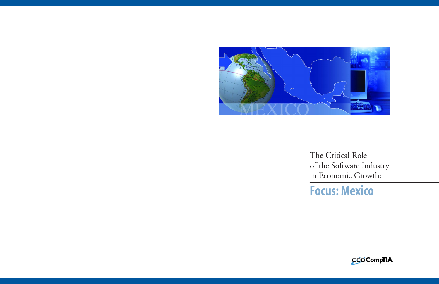

The Critical Role of the Software Industry in Economic Growth:

**Focus: Mexico**

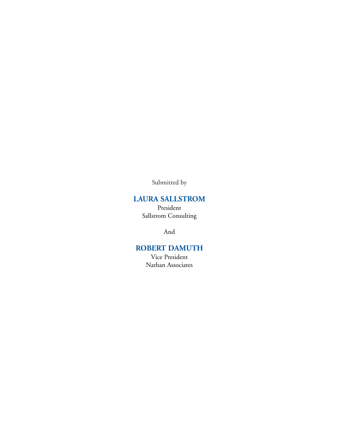Submitted by

## **LAURA SALLSTROM**

President Sallstrom Consulting

And

## **ROBERT DAMUTH**

Vice President Nathan Associates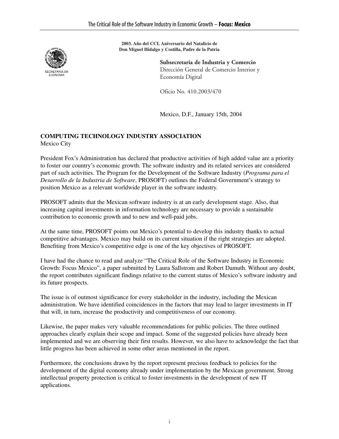

**2003. Año del CCL Aniversario del Natalicio de Don Miguel Hidalgo y Costilla, Padre de la Patria**

> **Subsecretaría de Industria y Comercio**  Dirección General de Comercio Interior y Economía Digital

Oficio No. 410.2003/470

Mexico, D.F., January 15th, 2004

#### **COMPUTING TECHNOLOGY INDUSTRY ASSOCIATION** Mexico City

President Fox's Administration has declared that productive activities of high added value are a priority to foster our country's economic growth. The software industry and its related services are considered part of such activities. The Program for the Development of the Software Industry (*Programa para el Desarrollo de la Industria de Software*, PROSOFT) outlines the Federal Government's strategy to position Mexico as a relevant worldwide player in the software industry.

PROSOFT admits that the Mexican software industry is at an early development stage. Also, that increasing capital investments in information technology are necessary to provide a sustainable contribution to economic growth and to new and well-paid jobs.

At the same time, PROSOFT points out Mexico's potential to develop this industry thanks to actual competitive advantages. Mexico may build on its current situation if the right strategies are adopted. Benefiting from Mexico's competitive edge is one of the key objectives of PROSOFT.

I have had the chance to read and analyze "The Critical Role of the Software Industry in Economic Growth: Focus Mexico", a paper submitted by Laura Sallstrom and Robert Damuth. Without any doubt, the report contributes significant findings relative to the current status of Mexico's software industry and its future prospects.

The issue is of outmost significance for every stakeholder in the industry, including the Mexican administration. We have identified coincidences in the factors that may lead to larger investments in IT that will, in turn, increase the productivity and competitiveness of our economy.

Likewise, the paper makes very valuable recommendations for public policies. The three outlined approaches clearly explain their scope and impact. Some of the suggested policies have already been implemented and we are observing their first results. However, we also have to acknowledge the fact that little progress has been achieved in some other areas mentioned in the report.

Furthermore, the conclusions drawn by the report represent precious feedback to policies for the development of the digital economy already under implementation by the Mexican government. Strong intellectual property protection is critical to foster investments in the development of new IT applications.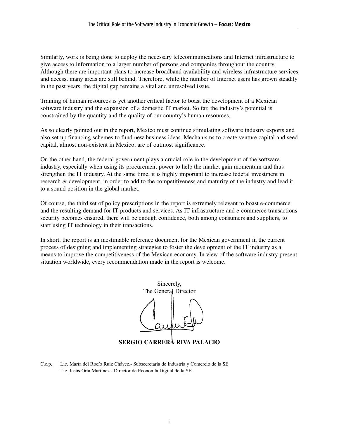Similarly, work is being done to deploy the necessary telecommunications and Internet infrastructure to give access to information to a larger number of persons and companies throughout the country. Although there are important plans to increase broadband availability and wireless infrastructure services and access, many areas are still behind. Therefore, while the number of Internet users has grown steadily in the past years, the digital gap remains a vital and unresolved issue.

Training of human resources is yet another critical factor to boast the development of a Mexican software industry and the expansion of a domestic IT market. So far, the industry's potential is constrained by the quantity and the quality of our country's human resources.

As so clearly pointed out in the report, Mexico must continue stimulating software industry exports and also set up financing schemes to fund new business ideas. Mechanisms to create venture capital and seed capital, almost non-existent in Mexico, are of outmost significance.

On the other hand, the federal government plays a crucial role in the development of the software industry, especially when using its procurement power to help the market gain momentum and thus strengthen the IT industry. At the same time, it is highly important to increase federal investment in research & development, in order to add to the competitiveness and maturity of the industry and lead it to a sound position in the global market.

Of course, the third set of policy prescriptions in the report is extremely relevant to boast e-commerce and the resulting demand for IT products and services. As IT infrastructure and e-commerce transactions security becomes ensured, there will be enough confidence, both among consumers and suppliers, to start using IT technology in their transactions.

In short, the report is an inestimable reference document for the Mexican government in the current process of designing and implementing strategies to foster the development of the IT industry as a means to improve the competitiveness of the Mexican economy. In view of the software industry present situation worldwide, every recommendation made in the report is welcome.



C.c.p. Lic. María del Rocío Ruiz Chávez.- Subsecretaria de Industria y Comercio de la SE Lic. Jesús Orta Martínez.- Director de Economía Digital de la SE.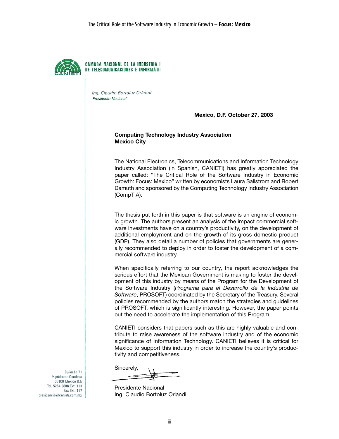

CÁMARA NACIONAL DE LA INDUSTRIA I DE TELECOMUNICACIONES E INFORMÁTII

Ing. Claudio Bortoluz Orlandi Presidente Nacional

**Mexico, D.F. October 27, 2003** 

#### **Computing Technology Industry Association Mexico City**

The National Electronics, Telecommunications and Information Technology Industry Association (in Spanish, CANIETI) has greatly appreciated the paper called: "The Critical Role of the Software Industry in Economic Growth: Focus: Mexico" written by economists Laura Sallstrom and Robert Damuth and sponsored by the Computing Technology Industry Association (CompTIA).

The thesis put forth in this paper is that software is an engine of economic growth. The authors present an analysis of the impact commercial software investments have on a country's productivity, on the development of additional employment and on the growth of its gross domestic product (GDP). They also detail a number of policies that governments are generally recommended to deploy in order to foster the development of a commercial software industry.

When specifically referring to our country, the report acknowledges the serious effort that the Mexican Government is making to foster the development of this industry by means of the Program for the Development of the Software Industry (*Programa para el Desarrollo de la Industria de Software*, PROSOFT) coordinated by the Secretary of the Treasury. Several policies recommended by the authors match the strategies and guidelines of PROSOFT, which is significantly interesting. However, the paper points out the need to accelerate the implementation of this Program.

CANIETI considers that papers such as this are highly valuable and contribute to raise awareness of the software industry and of the economic significance of Information Technology. CANIETI believes it is critical for Mexico to support this industry in order to increase the country's productivity and competitiveness.

Sincerely,

Presidente Nacional Ing. Claudio Bortoluz Orlandi

Culiacán 71 Hipódromo Condesa 06100 México D.F. Tel. 5264 0808 Ext. 113 Fax Ext. 117 presidencia@canieti.com.mx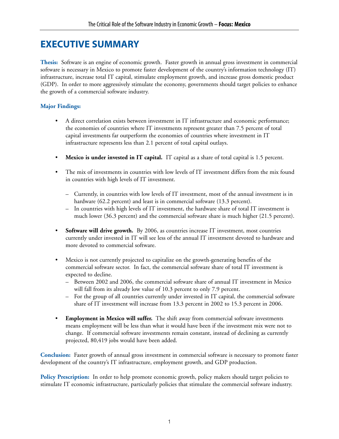# **EXECUTIVE SUMMARY**

**Thesis:** Software is an engine of economic growth. Faster growth in annual gross investment in commercial software is necessary in Mexico to promote faster development of the country's information technology (IT) infrastructure, increase total IT capital, stimulate employment growth, and increase gross domestic product (GDP). In order to more aggressively stimulate the economy, governments should target policies to enhance the growth of a commercial software industry.

## **Major Findings:**

- A direct correlation exists between investment in IT infrastructure and economic performance; the economies of countries where IT investments represent greater than 7.5 percent of total capital investments far outperform the economies of countries where investment in IT infrastructure represents less than 2.1 percent of total capital outlays.
- **Mexico is under invested in IT capital.** IT capital as a share of total capital is 1.5 percent.
- The mix of investments in countries with low levels of IT investment differs from the mix found in countries with high levels of IT investment.
	- Currently, in countries with low levels of IT investment, most of the annual investment is in hardware (62.2 percent) and least is in commercial software (13.3 percent).
	- In countries with high levels of IT investment, the hardware share of total IT investment is much lower (36.3 percent) and the commercial software share is much higher (21.5 percent).
- **Software will drive growth.** By 2006, as countries increase IT investment, most countries currently under invested in IT will see less of the annual IT investment devoted to hardware and more devoted to commercial software.
- Mexico is not currently projected to capitalize on the growth-generating benefits of the commercial software sector. In fact, the commercial software share of total IT investment is expected to decline.
	- Between 2002 and 2006, the commercial software share of annual IT investment in Mexico will fall from its already low value of 10.3 percent to only 7.9 percent.
	- For the group of all countries currently under invested in IT capital, the commercial software share of IT investment will increase from 13.3 percent in 2002 to 15.3 percent in 2006.
- **Employment in Mexico will suffer.** The shift away from commercial software investments means employment will be less than what it would have been if the investment mix were not to change. If commercial software investments remain constant, instead of declining as currently projected, 80,419 jobs would have been added.

**Conclusion:** Faster growth of annual gross investment in commercial software is necessary to promote faster development of the country's IT infrastructure, employment growth, and GDP production.

Policy Prescription: In order to help promote economic growth, policy makers should target policies to stimulate IT economic infrastructure, particularly policies that stimulate the commercial software industry.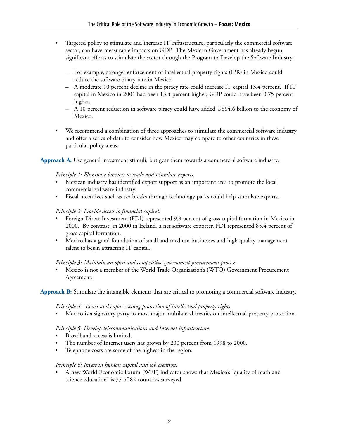- Targeted policy to stimulate and increase IT infrastructure, particularly the commercial software sector, can have measurable impacts on GDP. The Mexican Government has already begun significant efforts to stimulate the sector through the Program to Develop the Software Industry.
	- For example, stronger enforcement of intellectual property rights (IPR) in Mexico could reduce the software piracy rate in Mexico.
	- A moderate 10 percent decline in the piracy rate could increase IT capital 13.4 percent. If IT capital in Mexico in 2001 had been 13.4 percent higher, GDP could have been 0.75 percent higher.
	- A 10 percent reduction in software piracy could have added US\$4.6 billion to the economy of Mexico.
- We recommend a combination of three approaches to stimulate the commercial software industry and offer a series of data to consider how Mexico may compare to other countries in these particular policy areas.

**Approach A:** Use general investment stimuli, but gear them towards a commercial software industry.

#### *Principle 1: Eliminate barriers to trade and stimulate exports.*

- Mexican industry has identified export support as an important area to promote the local commercial software industry.
- Fiscal incentives such as tax breaks through technology parks could help stimulate exports.

#### *Principle 2: Provide access to financial capital.*

- Foreign Direct Investment (FDI) represented 9.9 percent of gross capital formation in Mexico in 2000. By contrast, in 2000 in Ireland, a net software exporter, FDI represented 85.4 percent of gross capital formation.
- Mexico has a good foundation of small and medium businesses and high quality management talent to begin attracting IT capital.

#### *Principle 3: Maintain an open and competitive government procurement process.*

• Mexico is not a member of the World Trade Organization's (WTO) Government Procurement Agreement.

**Approach B:** Stimulate the intangible elements that are critical to promoting a commercial software industry.

#### *Principle 4: Enact and enforce strong protection of intellectual property rights.*

• Mexico is a signatory party to most major multilateral treaties on intellectual property protection.

#### *Principle 5: Develop telecommunications and Internet infrastructure.*

- Broadband access is limited.
- The number of Internet users has grown by 200 percent from 1998 to 2000.
- Telephone costs are some of the highest in the region.

#### *Principle 6: Invest in human capital and job creation.*

• A new World Economic Forum (WEF) indicator shows that Mexico's "quality of math and science education" is 77 of 82 countries surveyed.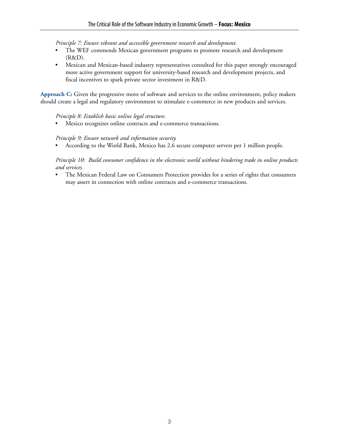*Principle 7: Ensure vibrant and accessible government research and development.*

- The WEF commends Mexican government programs to promote research and development (R&D).
- Mexican and Mexican-based industry representatives consulted for this paper strongly encouraged more active government support for university-based research and development projects, and fiscal incentives to spark private sector investment in R&D.

**Approach C:** Given the progressive move of software and services to the online environment, policy makers should create a legal and regulatory environment to stimulate e-commerce in new products and services.

#### *Principle 8: Establish basic online legal structure.*

• Mexico recognizes online contracts and e-commerce transactions.

#### *Principle 9: Ensure network and information security.*

• According to the World Bank, Mexico has 2.6 secure computer servers per 1 million people.

#### *Principle 10: Build consumer confidence in the electronic world without hindering trade in online products and services.*

The Mexican Federal Law on Consumers Protection provides for a series of rights that consumers may assert in connection with online contracts and e-commerce transactions.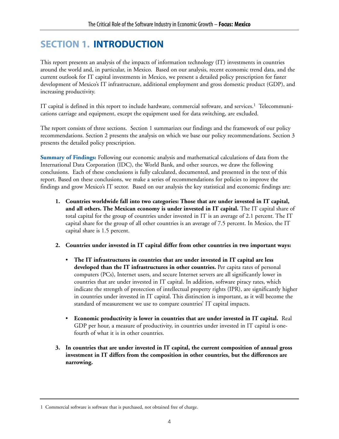# **SECTION 1. INTRODUCTION**

This report presents an analysis of the impacts of information technology (IT) investments in countries around the world and, in particular, in Mexico. Based on our analysis, recent economic trend data, and the current outlook for IT capital investments in Mexico, we present a detailed policy prescription for faster development of Mexico's IT infrastructure, additional employment and gross domestic product (GDP), and increasing productivity.

IT capital is defined in this report to include hardware, commercial software, and services.1 Telecommunications carriage and equipment, except the equipment used for data switching, are excluded.

The report consists of three sections. Section 1 summarizes our findings and the framework of our policy recommendations. Section 2 presents the analysis on which we base our policy recommendations. Section 3 presents the detailed policy prescription.

**Summary of Findings:** Following our economic analysis and mathematical calculations of data from the International Data Corporation (IDC), the World Bank, and other sources, we draw the following conclusions. Each of these conclusions is fully calculated, documented, and presented in the text of this report. Based on these conclusions, we make a series of recommendations for policies to improve the findings and grow Mexico's IT sector. Based on our analysis the key statistical and economic findings are:

- **1. Countries worldwide fall into two categories: Those that are under invested in IT capital, and all others. The Mexican economy is under invested in IT capital.** The IT capital share of total capital for the group of countries under invested in IT is an average of 2.1 percent. The IT capital share for the group of all other countries is an average of 7.5 percent. In Mexico, the IT capital share is 1.5 percent.
- **2. Countries under invested in IT capital differ from other countries in two important ways:**
	- **The IT infrastructures in countries that are under invested in IT capital are less developed than the IT infrastructures in other countries.** Per capita rates of personal computers (PCs), Internet users, and secure Internet servers are all significantly lower in countries that are under invested in IT capital. In addition, software piracy rates, which indicate the strength of protection of intellectual property rights (IPR), are significantly higher in countries under invested in IT capital. This distinction is important, as it will become the standard of measurement we use to compare countries' IT capital impacts.
	- **Economic productivity is lower in countries that are under invested in IT capital.** Real GDP per hour, a measure of productivity, in countries under invested in IT capital is onefourth of what it is in other countries.
- **3. In countries that are under invested in IT capital, the current composition of annual gross investment in IT differs from the composition in other countries, but the differences are narrowing.**

<sup>1</sup> Commercial software is software that is purchased, not obtained free of charge.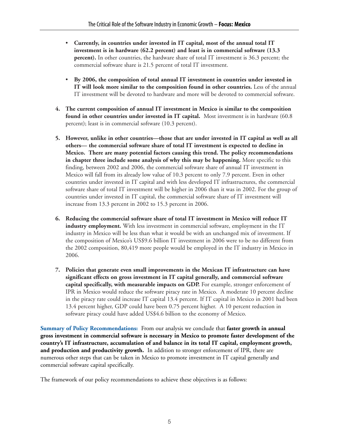- **Currently, in countries under invested in IT capital, most of the annual total IT investment is in hardware (62.2 percent) and least is in commercial software (13.3 percent).** In other countries, the hardware share of total IT investment is 36.3 percent; the commercial software share is 21.5 percent of total IT investment.
- **By 2006, the composition of total annual IT investment in countries under invested in IT will look more similar to the composition found in other countries.** Less of the annual IT investment will be devoted to hardware and more will be devoted to commercial software.
- **4. The current composition of annual IT investment in Mexico is similar to the composition found in other countries under invested in IT capital.** Most investment is in hardware (60.8 percent); least is in commercial software (10.3 percent).
- **5. However, unlike in other countries—those that are under invested in IT capital as well as all others— the commercial software share of total IT investment is expected to decline in Mexico. There are many potential factors causing this trend. The policy recommendations in chapter three include some analysis of why this may be happening.** More specific to this finding, between 2002 and 2006, the commercial software share of annual IT investment in Mexico will fall from its already low value of 10.3 percent to only 7.9 percent. Even in other countries under invested in IT capital and with less developed IT infrastructures, the commercial software share of total IT investment will be higher in 2006 than it was in 2002. For the group of countries under invested in IT capital, the commercial software share of IT investment will increase from 13.3 percent in 2002 to 15.3 percent in 2006.
- **6. Reducing the commercial software share of total IT investment in Mexico will reduce IT industry employment.** With less investment in commercial software, employment in the IT industry in Mexico will be less than what it would be with an unchanged mix of investment. If the composition of Mexico's US\$9.6 billion IT investment in 2006 were to be no different from the 2002 composition, 80,419 more people would be employed in the IT industry in Mexico in 2006.
- **7. Policies that generate even small improvements in the Mexican IT infrastructure can have significant effects on gross investment in IT capital generally, and commercial software capital specifically, with measurable impacts on GDP.** For example, stronger enforcement of IPR in Mexico would reduce the software piracy rate in Mexico. A moderate 10 percent decline in the piracy rate could increase IT capital 13.4 percent. If IT capital in Mexico in 2001 had been 13.4 percent higher, GDP could have been 0.75 percent higher. A 10 percent reduction in software piracy could have added US\$4.6 billion to the economy of Mexico.

**Summary of Policy Recommendations:** From our analysis we conclude that **faster growth in annual gross investment in commercial software is necessary in Mexico to promote faster development of the country's IT infrastructure, accumulation of and balance in its total IT capital, employment growth, and production and productivity growth.** In addition to stronger enforcement of IPR, there are numerous other steps that can be taken in Mexico to promote investment in IT capital generally and commercial software capital specifically.

The framework of our policy recommendations to achieve these objectives is as follows: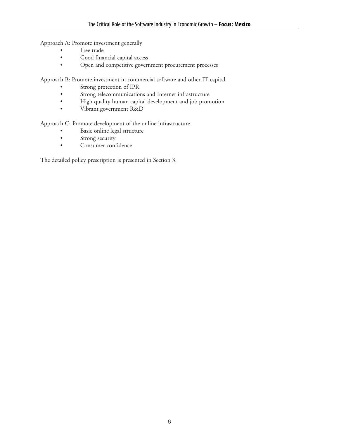Approach A: Promote investment generally

- Free trade
- Good financial capital access
- Open and competitive government procurement processes

Approach B: Promote investment in commercial software and other IT capital

- Strong protection of IPR
- Strong telecommunications and Internet infrastructure
- High quality human capital development and job promotion
- Vibrant government R&D

Approach C: Promote development of the online infrastructure

- Basic online legal structure
- Strong security
- Consumer confidence

The detailed policy prescription is presented in Section 3.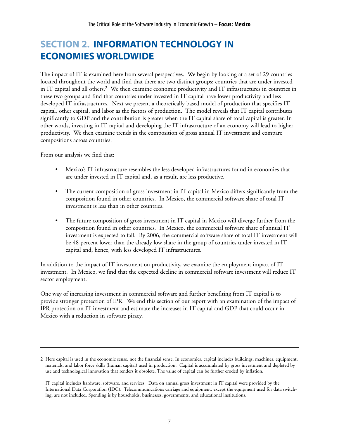# **SECTION 2. INFORMATION TECHNOLOGY IN ECONOMIES WORLDWIDE**

The impact of IT is examined here from several perspectives. We begin by looking at a set of 29 countries located throughout the world and find that there are two distinct groups: countries that are under invested in IT capital and all others.2 We then examine economic productivity and IT infrastructures in countries in these two groups and find that countries under invested in IT capital have lower productivity and less developed IT infrastructures. Next we present a theoretically based model of production that specifies IT capital, other capital, and labor as the factors of production. The model reveals that IT capital contributes significantly to GDP and the contribution is greater when the IT capital share of total capital is greater. In other words, investing in IT capital and developing the IT infrastructure of an economy will lead to higher productivity. We then examine trends in the composition of gross annual IT investment and compare compositions across countries.

From our analysis we find that:

- Mexico's IT infrastructure resembles the less developed infrastructures found in economies that are under invested in IT capital and, as a result, are less productive.
- The current composition of gross investment in IT capital in Mexico differs significantly from the composition found in other countries. In Mexico, the commercial software share of total IT investment is less than in other countries.
- The future composition of gross investment in IT capital in Mexico will diverge further from the composition found in other countries. In Mexico, the commercial software share of annual IT investment is expected to fall. By 2006, the commercial software share of total IT investment will be 48 percent lower than the already low share in the group of countries under invested in IT capital and, hence, with less developed IT infrastructures.

In addition to the impact of IT investment on productivity, we examine the employment impact of IT investment. In Mexico, we find that the expected decline in commercial software investment will reduce IT sector employment.

One way of increasing investment in commercial software and further benefiting from IT capital is to provide stronger protection of IPR. We end this section of our report with an examination of the impact of IPR protection on IT investment and estimate the increases in IT capital and GDP that could occur in Mexico with a reduction in software piracy.

<sup>2</sup> Here capital is used in the economic sense, not the financial sense. In economics, capital includes buildings, machines, equipment, materials, and labor force skills (human capital) used in production. Capital is accumulated by gross investment and depleted by use and technological innovation that renders it obsolete. The value of capital can be further eroded by inflation.

IT capital includes hardware, software, and services. Data on annual gross investment in IT capital were provided by the International Data Corporation (IDC). Telecommunications carriage and equipment, except the equipment used for data switching, are not included. Spending is by households, businesses, governments, and educational institutions.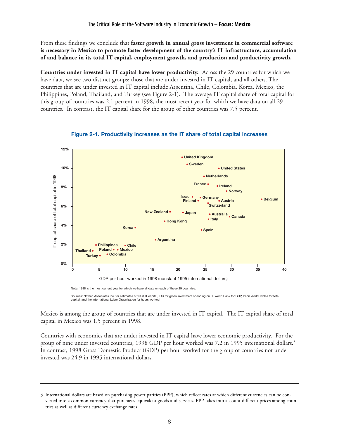From these findings we conclude that **faster growth in annual gross investment in commercial software is necessary in Mexico to promote faster development of the country's IT infrastructure, accumulation of and balance in its total IT capital, employment growth, and production and productivity growth.**

**Countries under invested in IT capital have lower productivity.** Across the 29 countries for which we have data, we see two distinct groups: those that are under invested in IT capital, and all others. The countries that are under invested in IT capital include Argentina, Chile, Colombia, Korea, Mexico, the Philippines, Poland, Thailand, and Turkey (see Figure 2-1). The average IT capital share of total capital for this group of countries was 2.1 percent in 1998, the most recent year for which we have data on all 29 countries. In contrast, the IT capital share for the group of other countries was 7.5 percent.



**Figure 2-1. Productivity increases as the IT share of total capital increases**

Sources: Nathan Associates Inc. for estimates of 1998 IT capital, IDC for gross investment spending on IT, World Bank for GDP, Penn World Tables for total capital, and the International Labor Organization for hours worked.

Mexico is among the group of countries that are under invested in IT capital. The IT capital share of total capital in Mexico was 1.5 percent in 1998.

Countries with economies that are under invested in IT capital have lower economic productivity. For the group of nine under invested countries, 1998 GDP per hour worked was 7.2 in 1995 international dollars.3 In contrast, 1998 Gross Domestic Product (GDP) per hour worked for the group of countries not under invested was 24.9 in 1995 international dollars.

<sup>3</sup> International dollars are based on purchasing power parities (PPP), which reflect rates at which different currencies can be converted into a common currency that purchases equivalent goods and services. PPP takes into account different prices among countries as well as different currency exchange rates.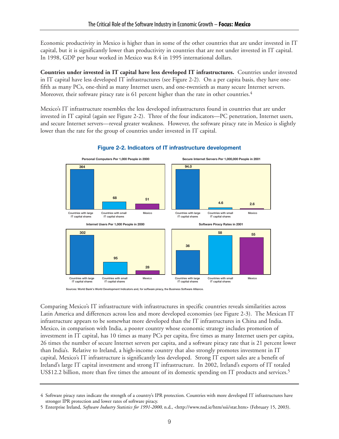Economic productivity in Mexico is higher than in some of the other countries that are under invested in IT capital, but it is significantly lower than productivity in countries that are not under invested in IT capital. In 1998, GDP per hour worked in Mexico was 8.4 in 1995 international dollars.

**Countries under invested in IT capital have less developed IT infrastructures.** Countries under invested in IT capital have less developed IT infrastructures (see Figure 2-2). On a per capita basis, they have onefifth as many PCs, one-third as many Internet users, and one-twentieth as many secure Internet servers. Moreover, their software piracy rate is 61 percent higher than the rate in other countries.<sup>4</sup>

Mexico's IT infrastructure resembles the less developed infrastructures found in countries that are under invested in IT capital (again see Figure 2-2). Three of the four indicators—PC penetration, Internet users, and secure Internet servers—reveal greater weakness. However, the software piracy rate in Mexico is slightly lower than the rate for the group of countries under invested in IT capital.



#### **Figure 2-2. Indicators of IT infrastructure development**

**Sources: World Bank's World Development Indicators and, for software piracy, the Business Software Alliance.**

Comparing Mexico's IT infrastructure with infrastructures in specific countries reveals similarities across Latin America and differences across less and more developed economies (see Figure 2-3). The Mexican IT infrastructure appears to be somewhat more developed than the IT infrastructures in China and India. Mexico, in comparison with India, a poorer country whose economic strategy includes promotion of investment in IT capital, has 10 times as many PCs per capita, five times as many Internet users per capita, 26 times the number of secure Internet servers per capita, and a software piracy rate that is 21 percent lower than India's. Relative to Ireland, a high-income country that also strongly promotes investment in IT capital, Mexico's IT infrastructure is significantly less developed. Strong IT export sales are a benefit of Ireland's large IT capital investment and strong IT infrastructure. In 2002, Ireland's exports of IT totaled US\$12.2 billion, more than five times the amount of its domestic spending on IT products and services.<sup>5</sup>

<sup>4</sup> Software piracy rates indicate the strength of a country's IPR protection. Countries with more developed IT infrastructures have stronger IPR protection and lower rates of software piracy.

<sup>5</sup> Enterprise Ireland, *Software Industry Statistics for 1991-2000*, n.d., <http://www.nsd.ie/htm/ssii/stat.htm> (February 15, 2003).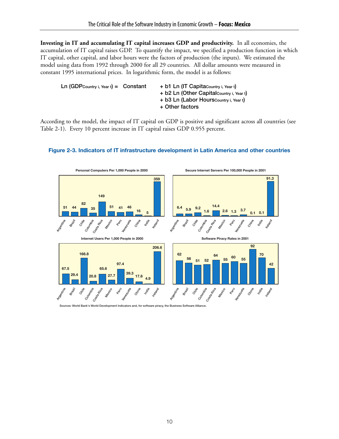**Investing in IT and accumulating IT capital increases GDP and productivity.** In all economies, the accumulation of IT capital raises GDP. To quantify the impact, we specified a production function in which IT capital, other capital, and labor hours were the factors of production (the inputs). We estimated the model using data from 1992 through 2000 for all 29 countries. All dollar amounts were measured in constant 1995 international prices. In logarithmic form, the model is as follows:

| $Ln(GDPCountry i, Year t) = Constant$ | + b1 Ln (IT Capitacountry i, Year t)      |
|---------------------------------------|-------------------------------------------|
|                                       | + b2 Ln (Other Capital Country i, Year t) |
|                                       | + b3 Ln (Labor Hours Country i, Year t)   |
|                                       | + Other factors                           |

According to the model, the impact of IT capital on GDP is positive and significant across all countries (see Table 2-1). Every 10 percent increase in IT capital raises GDP 0.955 percent.



#### **Figure 2-3. Indicators of IT infrastructure development in Latin America and other countries**

Sources: World Bank's World Development Indicators and, for software piracy, the Business Softv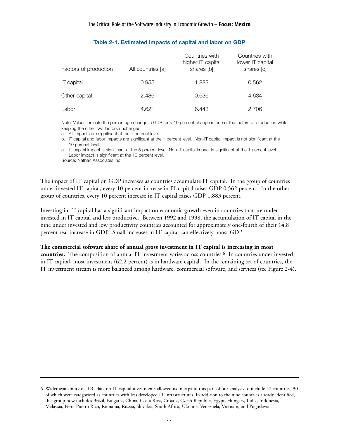| Factors of production | All countries [a] | Countries with<br>higher IT capital<br>shares [b] | Countries with<br>lower IT capital<br>shares [c] |
|-----------------------|-------------------|---------------------------------------------------|--------------------------------------------------|
| IT capital            | 0.955             | 1.883                                             | 0.562                                            |
| Other capital         | 2.486             | 0.636                                             | 4.634                                            |
| Labor                 | 4.621             | 6.443                                             | 2.706                                            |

#### **Table 2-1. Estimated impacts of capital and labor on GDP**

Note: Values indicate the percentage change in GDP for a 10 percent change in one of the factors of production while keeping the other two factors unchanged

a. All impacts are significant at the 1 percent level.

b. IT capital and labor impacts are significant at the 1 percent level. Non-IT capital impact is not significant at the 10 percent level.

c. IT capital impact is significant at the 5 percent level. Non-IT capital impact is significant at the 1 percent level. Labor impact is significant at the 10 percent level.

Source: Nathan Associates Inc.

The impact of IT capital on GDP increases as countries accumulate IT capital. In the group of countries under invested IT capital, every 10 percent increase in IT capital raises GDP 0.562 percent. In the other group of countries, every 10 percent increase in IT capital raises GDP 1.883 percent.

Investing in IT capital has a significant impact on economic growth even in countries that are under invested in IT capital and less productive. Between 1992 and 1998, the accumulation of IT capital in the nine under invested and low productivity countries accounted for approximately one-fourth of their 14.8 percent real increase in GDP. Small increases in IT capital can effectively boost GDP.

#### **The commercial software share of annual gross investment in IT capital is increasing in most**

**countries.** The composition of annual IT investment varies across countries.6 In countries under invested in IT capital, most investment (62.2 percent) is in hardware capital. In the remaining set of countries, the IT investment stream is more balanced among hardware, commercial software, and services (see Figure 2-4).

<sup>6</sup> Wider availability of IDC data on IT capital investments allowed us to expand this part of our analysis to include 57 countries, 30 of which were categorized as countries with less developed IT infrastructures. In addition to the nine countries already identified, this group now includes Brazil, Bulgaria, China, Costa Rica, Croatia, Czech Republic, Egypt, Hungary, India, Indonesia, Malaysia, Peru, Puerto Rico, Romania, Russia, Slovakia, South Africa, Ukraine, Venezuela, Vietnam, and Yugoslavia.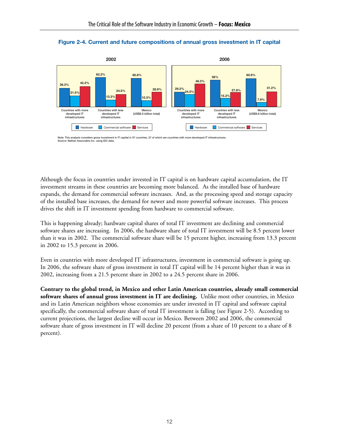



**Note: This analysis considers gross investment in IT capital in 57 countries, 27 of which are countries with more developed IT infrastructures. Source: Nathan Associates Inc. using IDC data.**

Although the focus in countries under invested in IT capital is on hardware capital accumulation, the IT investment streams in these countries are becoming more balanced. As the installed base of hardware expands, the demand for commercial software increases. And, as the processing speed and storage capacity of the installed base increases, the demand for newer and more powerful software increases. This process drives the shift in IT investment spending from hardware to commercial software.

This is happening already; hardware capital shares of total IT investment are declining and commercial software shares are increasing. In 2006, the hardware share of total IT investment will be 8.5 percent lower than it was in 2002. The commercial software share will be 15 percent higher, increasing from 13.3 percent in 2002 to 15.3 percent in 2006.

Even in countries with more developed IT infrastructures, investment in commercial software is going up. In 2006, the software share of gross investment in total IT capital will be 14 percent higher than it was in 2002, increasing from a 21.5 percent share in 2002 to a 24.5 percent share in 2006.

**Contrary to the global trend, in Mexico and other Latin American countries, already small commercial software shares of annual gross investment in IT are declining.** Unlike most other countries, in Mexico and its Latin American neighbors whose economies are under invested in IT capital and software capital specifically, the commercial software share of total IT investment is falling (see Figure 2-5). According to current projections, the largest decline will occur in Mexico. Between 2002 and 2006, the commercial software share of gross investment in IT will decline 20 percent (from a share of 10 percent to a share of 8 percent).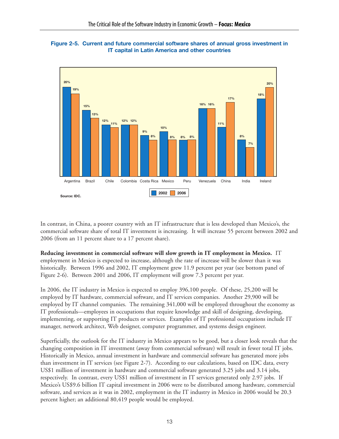



In contrast, in China, a poorer country with an IT infrastructure that is less developed than Mexico's, the commercial software share of total IT investment is increasing. It will increase 55 percent between 2002 and 2006 (from an 11 percent share to a 17 percent share).

**Reducing investment in commercial software will slow growth in IT employment in Mexico.** IT employment in Mexico is expected to increase, although the rate of increase will be slower than it was

historically. Between 1996 and 2002, IT employment grew 11.9 percent per year (see bottom panel of Figure 2-6). Between 2001 and 2006, IT employment will grow 7.3 percent per year.

In 2006, the IT industry in Mexico is expected to employ 396,100 people. Of these, 25,200 will be employed by IT hardware, commercial software, and IT services companies. Another 29,900 will be employed by IT channel companies. The remaining 341,000 will be employed throughout the economy as IT professionals—employees in occupations that require knowledge and skill of designing, developing, implementing, or supporting IT products or services. Examples of IT professional occupations include IT manager, network architect, Web designer, computer programmer, and systems design engineer.

Superficially, the outlook for the IT industry in Mexico appears to be good, but a closer look reveals that the changing composition in IT investment (away from commercial software) will result in fewer total IT jobs. Historically in Mexico, annual investment in hardware and commercial software has generated more jobs than investment in IT services (see Figure 2-7). According to our calculations, based on IDC data, every US\$1 million of investment in hardware and commercial software generated 3.25 jobs and 3.14 jobs, respectively. In contrast, every US\$1 million of investment in IT services generated only 2.97 jobs. If Mexico's US\$9.6 billion IT capital investment in 2006 were to be distributed among hardware, commercial software, and services as it was in 2002, employment in the IT industry in Mexico in 2006 would be 20.3 percent higher; an additional 80,419 people would be employed.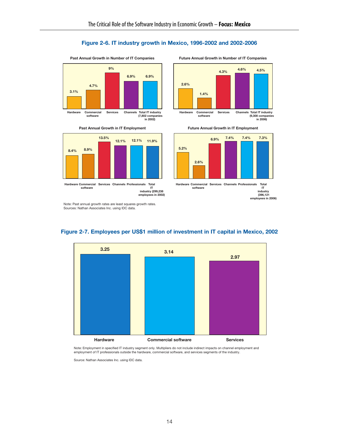#### **Figure 2-6. IT industry growth in Mexico, 1996-2002 and 2002-2006**









**Past Annual Growth in IT Employment Future Annual Growth in IT Employment**



**Hardware Commercial software Services Channels Professionals Total IT industry (396,121 employees in 2006)**

Note: Past annual growth rates are least squares growth rates. Sources: Nathan Associates Inc. using IDC data.



#### **Figure 2-7. Employees per US\$1 million of investment in IT capital in Mexico, 2002**

Note: Employment in specified IT industry segment only. Multipliers do not include indirect impacts on channel employment and employment of IT professionals outside the hardware, commercial software, and services segments of the industry.

Source: Nathan Associates Inc. using IDC data.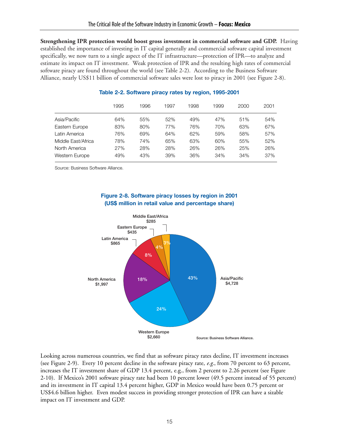**Strengthening IPR protection would boost gross investment in commercial software and GDP.** Having established the importance of investing in IT capital generally and commercial software capital investment specifically, we now turn to a single aspect of the IT infrastructure—protection of IPR—to analyze and estimate its impact on IT investment. Weak protection of IPR and the resulting high rates of commercial software piracy are found throughout the world (see Table 2-2). According to the Business Software Alliance, nearly US\$11 billion of commercial software sales were lost to piracy in 2001 (see Figure 2-8).

|                    | 1995 | 1996 | 1997 | 1998 | 1999 | 2000 | 2001 |
|--------------------|------|------|------|------|------|------|------|
| Asia/Pacific       | 64%  | 55%  | 52%  | 49%  | 47%  | 51%  | 54%  |
| Eastern Europe     | 83%  | 80%  | 77%  | 76%  | 70%  | 63%  | 67%  |
| Latin America      | 76%  | 69%  | 64%  | 62%  | 59%  | 58%  | 57%  |
| Middle East/Africa | 78%  | 74%  | 65%  | 63%  | 60%  | 55%  | 52%  |
| North America      | 27%  | 28%  | 28%  | 26%  | 26%  | 25%  | 26%  |
| Western Europe     | 49%  | 43%  | 39%  | 36%  | 34%  | 34%  | 37%  |
|                    |      |      |      |      |      |      |      |

#### **Table 2-2. Software piracy rates by region, 1995-2001**

Source: Business Software Alliance.



#### **Figure 2-8. Software piracy losses by region in 2001 (US\$ million in retail value and percentage share)**

Looking across numerous countries, we find that as software piracy rates decline, IT investment increases (see Figure 2-9). Every 10 percent decline in the software piracy rate, *e.g*., from 70 percent to 63 percent, increases the IT investment share of GDP 13.4 percent, e.g., from 2 percent to 2.26 percent (see Figure 2-10). If Mexico's 2001 software piracy rate had been 10 percent lower (49.5 percent instead of 55 percent) and its investment in IT capital 13.4 percent higher, GDP in Mexico would have been 0.75 percent or US\$4.6 billion higher. Even modest success in providing stronger protection of IPR can have a sizable impact on IT investment and GDP.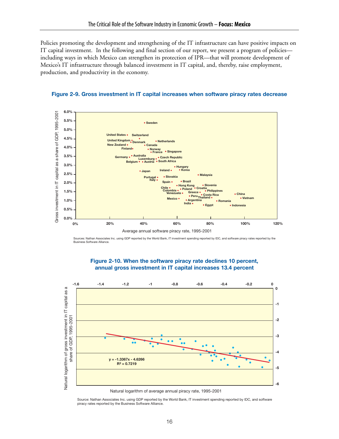Policies promoting the development and strengthening of the IT infrastructure can have positive impacts on IT capital investment. In the following and final section of our report, we present a program of policies including ways in which Mexico can strengthen its protection of IPR—that will promote development of Mexico's IT infrastructure through balanced investment in IT capital, and, thereby, raise employment, production, and productivity in the economy.





Sources: Nathan Associates Inc. using GDP reported by the World Bank, IT investment spending reported by IDC, and software piracy rates reported by the Business Software Alliance.



#### **Figure 2-10. When the software piracy rate declines 10 percent, annual gross investment in IT capital increases 13.4 percent**

Natural logarithm of average annual piracy rate, 1995-2001

Source: Nathan Associates Inc. using GDP reported by the World Bank, IT investment spending reported by IDC, and software piracy rates reported by the Business Software Alliance.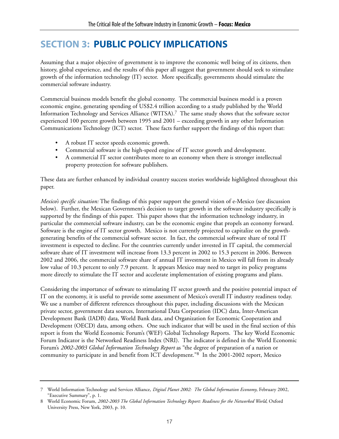# **SECTION 3: PUBLIC POLICY IMPLICATIONS**

Assuming that a major objective of government is to improve the economic well being of its citizens, then history, global experience, and the results of this paper all suggest that government should seek to stimulate growth of the information technology (IT) sector. More specifically, governments should stimulate the commercial software industry.

Commercial business models benefit the global economy. The commercial business model is a proven economic engine, generating spending of US\$2.4 trillion according to a study published by the World Information Technology and Services Alliance (WITSA).7 The same study shows that the software sector experienced 100 percent growth between 1995 and 2001 – exceeding growth in any other Information Communications Technology (ICT) sector. These facts further support the findings of this report that:

- A robust IT sector speeds economic growth.
- Commercial software is the high-speed engine of IT sector growth and development.
- A commercial IT sector contributes more to an economy when there is stronger intellectual property protection for software publishers.

These data are further enhanced by individual country success stories worldwide highlighted throughout this paper.

*Mexico's specific situation:* The findings of this paper support the general vision of e-Mexico (see discussion below). Further, the Mexican Government's decision to target growth in the software industry specifically is supported by the findings of this paper. This paper shows that the information technology industry, in particular the commercial software industry, can be the economic engine that propels an economy forward. Software is the engine of IT sector growth. Mexico is not currently projected to capitalize on the growthgenerating benefits of the commercial software sector. In fact, the commercial software share of total IT investment is expected to decline. For the countries currently under invested in IT capital, the commercial software share of IT investment will increase from 13.3 percent in 2002 to 15.3 percent in 2006. Between 2002 and 2006, the commercial software share of annual IT investment in Mexico will fall from its already low value of 10.3 percent to only 7.9 percent. It appears Mexico may need to target its policy programs more directly to stimulate the IT sector and accelerate implementation of existing programs and plans.

Considering the importance of software to stimulating IT sector growth and the positive potential impact of IT on the economy, it is useful to provide some assessment of Mexico's overall IT industry readiness today. We use a number of different references throughout this paper, including discussions with the Mexican private sector, government data sources, International Data Corporation (IDC) data, Inter-American Development Bank (IADB) data, World Bank data, and Organization for Economic Cooperation and Development (OECD) data, among others. One such indicator that will be used in the final section of this report is from the World Economic Forum's (WEF) Global Technology Reports. The key World Economic Forum Indicator is the Networked Readiness Index (NRI). The indicator is defined in the World Economic Forum's *2002-2003 Global Information Technology Report* as "the degree of preparation of a nation or community to participate in and benefit from ICT development."8 In the 2001-2002 report, Mexico

<sup>7</sup> World Information Technology and Services Alliance, *Digital Planet 2002: The Global Information Economy*, February 2002, "Executive Summary", p. 1.

<sup>8</sup> World Economic Forum, *2002-2003 The Global Information Technology Report: Readiness for the Networked World*, Oxford University Press, New York, 2003, p. 10.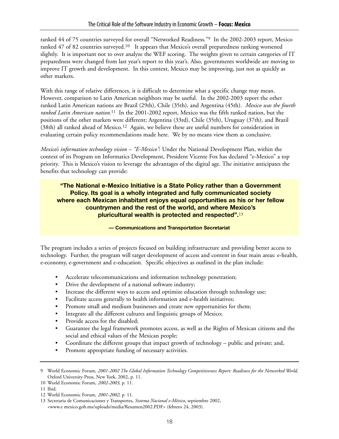ranked 44 of 75 countries surveyed for overall "Networked Readiness."9 In the 2002-2003 report, Mexico ranked 47 of 82 countries surveyed.<sup>10</sup> It appears that Mexico's overall preparedness ranking worsened slightly. It is important not to over analyze the WEF scoring. The weights given to certain categories of IT preparedness were changed from last year's report to this year's. Also, governments worldwide are moving to improve IT growth and development. In this context, Mexico may be improving, just not as quickly as other markets.

With this range of relative differences, it is difficult to determine what a specific change may mean. However, comparison to Latin American neighbors may be useful. In the 2002-2003 report the other ranked Latin American nations are Brazil (29th), Chile (35th), and Argentina (45th). *Mexico was the fourth ranked Latin American nation.*<sup>11</sup> In the 2001-2002 report, Mexico was the fifth ranked nation, but the positions of the other markets were different; Argentina (33rd), Chile (35th), Uruguay (37th), and Brazil (38th) all ranked ahead of Mexico.<sup>12</sup> Again, we believe these are useful numbers for consideration in evaluating certain policy recommendations made here. We by no means view them as conclusive.

*Mexico's information technology vision – "E-Mexico"*: Under the National Development Plan, within the context of its Program on Informatics Development, President Vicente Fox has declared "e-Mexico" a top priority. This is Mexico's vision to leverage the advantages of the digital age. The initiative anticipates the benefits that technology can provide:

#### **"The National e-Mexico Initiative is a State Policy rather than a Government Policy. Its goal is a wholly integrated and fully communicated society where each Mexican inhabitant enjoys equal opportunities as his or her fellow countrymen and the rest of the world, and where Mexico's pluricultural wealth is protected and respected".**13

**— Communications and Transportation Secretariat** 

The program includes a series of projects focused on building infrastructure and providing better access to technology. Further, the program will target development of access and content in four main areas: e-health, e-economy, e-government and e-education. Specific objectives as outlined in the plan include:

- Accelerate telecommunications and information technology penetration;
- Drive the development of a national software industry;
- Increase the different ways to access and optimize education through technology use;
- Facilitate access generally to health information and e-health initiatives;
- Promote small and medium businesses and create new opportunities for them;
- Integrate all the different cultures and linguistic groups of Mexico;
- Provide access for the disabled;
- Guarantee the legal framework promotes access, as well as the Rights of Mexican citizens and the social and ethical values of the Mexican people;
- Coordinate the different groups that impact growth of technology public and private; and,
- Promote appropriate funding of necessary activities.

10 World Economic Forum, *2002-2003*, p. 11.

<sup>9</sup> World Economic Forum, *2001-2002 The Global Information Technology Competitiveness Report: Readiness for the Networked World*, Oxford University Press, New York, 2002, p. 11.

<sup>11</sup> Ibid.

<sup>12</sup> World Economic Forum, *2001-2002*, p. 11.

<sup>13</sup> Secretaria de Comunicaciones y Transportes, *Sistema Nacional e-México*, septiembre 2002, <www.e mexico.gob.mx/uploads/media/Resumen2002.PDF> (febrero 24, 2003).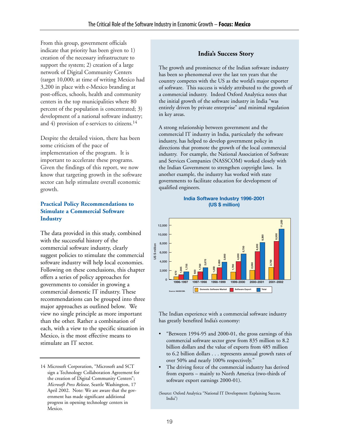From this group, government officials indicate that priority has been given to 1) creation of the necessary infrastructure to support the system; 2) creation of a large network of Digital Community Centers (target 10,000; at time of writing Mexico had 3,200 in place with e-Mexico branding at post-offices, schools, health and community centers in the top municipalities where 80 percent of the population is concentrated; 3) development of a national software industry; and 4) provision of e-services to citizens.14

Despite the detailed vision, there has been some criticism of the pace of implementation of the program. It is important to accelerate these programs. Given the findings of this report, we now know that targeting growth in the software sector can help stimulate overall economic growth.

#### **Practical Policy Recommendations to Stimulate a Commercial Software Industry**

The data provided in this study, combined with the successful history of the commercial software industry, clearly suggest policies to stimulate the commercial software industry will help local economies. Following on these conclusions, this chapter offers a series of policy approaches for governments to consider in growing a commercial domestic IT industry. These recommendations can be grouped into three major approaches as outlined below. We view no single principle as more important than the other. Rather a combination of each, with a view to the specific situation in Mexico, is the most effective means to stimulate an IT sector.

#### **India's Success Story**

The growth and prominence of the Indian software industry has been so phenomenal over the last ten years that the country competes with the US as the world's major exporter of software. This success is widely attributed to the growth of a commercial industry. Indeed Oxford Analytica notes that the initial growth of the software industry in India "was entirely driven by private enterprise" and minimal regulation in key areas.

A strong relationship between government and the commercial IT industry in India, particularly the software industry, has helped to develop government policy in directions that promote the growth of the local commercial industry. For example, the National Association of Software and Services Companies (NASSCOM) worked closely with the Indian Government to strengthen copyright laws. In another example, the industry has worked with state governments to facilitate education for development of qualified engineers.

#### **India Software Industry 1996-2001 (US \$ million)**



The Indian experience with a commercial software industry has greatly benefited India's economy:

- "Between 1994-95 and 2000-01, the gross earnings of this commercial software sector grew from 835 million to 8.2 billion dollars and the value of exports from 485 million to 6.2 billion dollars . . . represents annual growth rates of over 50% and nearly 100% respectively."
- The driving force of the commercial industry has derived from exports – mainly to North America (two-thirds of software export earnings 2000-01).

(Source: Oxford Analytica "National IT Development: Explaining Success. India")

<sup>14</sup> Microsoft Corporation, "Microsoft and SCT sign a Technology Collaboration Agreement for the creation of Digital Community Centers"; *Microsoft Press Release*, Seattle Washington, 17 April 2002. Note: We are aware that the government has made significant additional progress in opening technology centers in Mexico.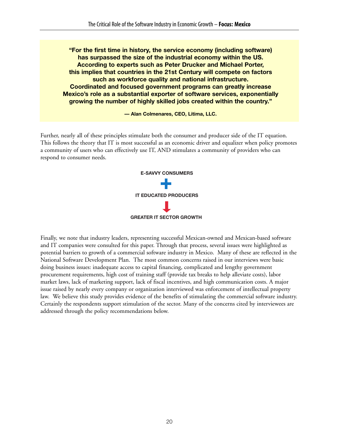**"For the first time in history, the service economy (including software) has surpassed the size of the industrial economy within the US. According to experts such as Peter Drucker and Michael Porter, this implies that countries in the 21st Century will compete on factors such as workforce quality and national infrastructure. Coordinated and focused government programs can greatly increase Mexico's role as a substantial exporter of software services, exponentially growing the number of highly skilled jobs created within the country."**

**— Alan Colmenares, CEO, Litima, LLC.**

Further, nearly all of these principles stimulate both the consumer and producer side of the IT equation. This follows the theory that IT is most successful as an economic driver and equalizer when policy promotes a community of users who can effectively use IT, AND stimulates a community of providers who can respond to consumer needs.



Finally, we note that industry leaders, representing successful Mexican-owned and Mexican-based software and IT companies were consulted for this paper. Through that process, several issues were highlighted as potential barriers to growth of a commercial software industry in Mexico. Many of these are reflected in the National Software Development Plan. The most common concerns raised in our interviews were basic doing business issues: inadequate access to capital financing, complicated and lengthy government procurement requirements, high cost of training staff (provide tax breaks to help alleviate costs), labor market laws, lack of marketing support, lack of fiscal incentives, and high communication costs. A major issue raised by nearly every company or organization interviewed was enforcement of intellectual property law. We believe this study provides evidence of the benefits of stimulating the commercial software industry. Certainly the respondents support stimulation of the sector. Many of the concerns cited by interviewees are addressed through the policy recommendations below.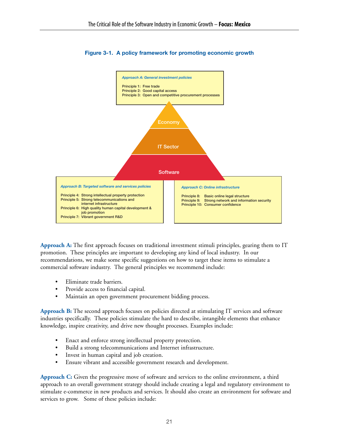

#### **Figure 3-1. A policy framework for promoting economic growth**

**Approach A:** The first approach focuses on traditional investment stimuli principles, gearing them to IT promotion. These principles are important to developing any kind of local industry. In our recommendations, we make some specific suggestions on how to target these items to stimulate a commercial software industry. The general principles we recommend include:

- Eliminate trade barriers.
- Provide access to financial capital.
- Maintain an open government procurement bidding process.

**Approach B:** The second approach focuses on policies directed at stimulating IT services and software industries specifically. These policies stimulate the hard to describe, intangible elements that enhance knowledge, inspire creativity, and drive new thought processes. Examples include:

- Enact and enforce strong intellectual property protection.
- Build a strong telecommunications and Internet infrastructure.
- Invest in human capital and job creation.
- Ensure vibrant and accessible government research and development.

**Approach C:** Given the progressive move of software and services to the online environment, a third approach to an overall government strategy should include creating a legal and regulatory environment to stimulate e-commerce in new products and services. It should also create an environment for software and services to grow. Some of these policies include: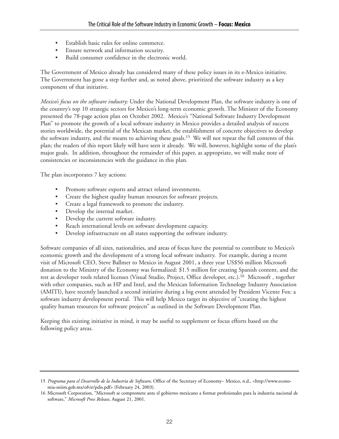- Establish basic rules for online commerce.
- Ensure network and information security.
- Build consumer confidence in the electronic world.

The Government of Mexico already has considered many of these policy issues in its e-Mexico initiative. The Government has gone a step further and, as noted above, prioritized the software industry as a key component of that initiative.

*Mexico's focus on the software industry:* Under the National Development Plan, the software industry is one of the country's top 10 strategic sectors for Mexico's long-term economic growth. The Minister of the Economy presented the 78-page action plan on October 2002. Mexico's "National Software Industry Development Plan" to promote the growth of a local software industry in Mexico provides a detailed analysis of success stories worldwide, the potential of the Mexican market, the establishment of concrete objectives to develop the software industry, and the means to achieving these goals.<sup>15</sup> We will not repeat the full contents of this plan; the readers of this report likely will have seen it already. We will, however, highlight some of the plan's major goals. In addition, throughout the remainder of this paper, as appropriate, we will make note of consistencies or inconsistencies with the guidance in this plan.

The plan incorporates 7 key actions:

- Promote software exports and attract related investments.
- Create the highest quality human resources for software projects.
- Create a legal framework to promote the industry.
- Develop the internal market.
- Develop the current software industry.
- Reach international levels on software development capacity.
- Develop infrastructure on all states supporting the software industry.

Software companies of all sizes, nationalities, and areas of focus have the potential to contribute to Mexico's economic growth and the development of a strong local software industry. For example, during a recent visit of Microsoft CEO, Steve Ballmer to Mexico in August 2001, a three year US\$56 million Microsoft donation to the Ministry of the Economy was formalized: \$1.5 million for creating Spanish content, and the rest as developer tools related licenses (Visual Studio, Project, Office developer, etc.).16 Microsoft , together with other companies, such as HP and Intel, and the Mexican Information Technology Industry Association (AMITI), have recently launched a second initiative during a big event attended by President Vicente Fox: a software industry development portal. This will help Mexico target its objective of "creating the highest quality human resources for software projects" as outlined in the Software Development Plan.

Keeping this existing initiative in mind, it may be useful to supplement or focus efforts based on the following policy areas.

<sup>15</sup> *Programa para el Desarrollo de la Industria de Software*, Office of the Secretary of Economy– Mexico, n.d., <http://www.economia-sniim.gob.mx/ofvir/pdis.pdf> (February 24, 2003).

<sup>16</sup> Microsoft Corporation, "Microsoft se compromete ante el gobierno mexicano a formar profesionales para la industria nacional de software," *Microsoft Press Release*, August 21, 2001.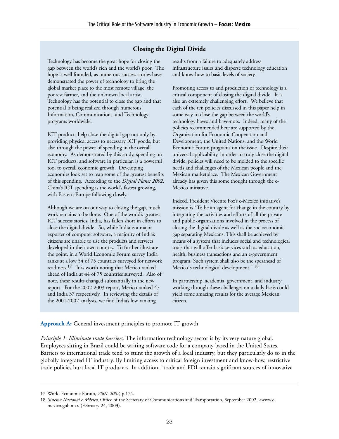#### **Closing the Digital Divide**

Technology has become the great hope for closing the gap between the world's rich and the world's poor. The hope is well founded, as numerous success stories have demonstrated the power of technology to bring the global market place to the most remote village, the poorest farmer, and the unknown local artist. Technology has the potential to close the gap and that potential is being realized through numerous Information, Communications, and Technology programs worldwide.

ICT products help close the digital gap not only by providing physical access to necessary ICT goods, but also through the power of spending in the overall economy. As demonstrated by this study, spending on ICT products, and software in particular, is a powerful tool to overall economic growth. Developing economies look set to reap some of the greatest benefits of this spending. According to the *Digital Planet 2002*, China's ICT spending is the world's fastest growing, with Eastern Europe following closely.

Although we are on our way to closing the gap, much work remains to be done. One of the world's greatest ICT success stories, India, has fallen short in efforts to close the digital divide. So, while India is a major exporter of computer software, a majority of India's citizens are unable to use the products and services developed in their own country. To further illustrate the point, in a World Economic Forum survey India ranks at a low 54 of 75 countries surveyed for network readiness.17 It is worth noting that Mexico ranked ahead of India at 44 of 75 countries surveyed. Also of note, these results changed substantially in the new report. For the 2002-2003 report, Mexico ranked 47 and India 37 respectively. In reviewing the details of the 2001-2002 analysis, we find India's low ranking

results from a failure to adequately address infrastructure issues and disperse technology education and know-how to basic levels of society.

Promoting access to and production of technology is a critical component of closing the digital divide. It is also an extremely challenging effort. We believe that each of the ten policies discussed in this paper help in some way to close the gap between the world's technology haves and have-nots. Indeed, many of the policies recommended here are supported by the Organization for Economic Cooperation and Development, the United Nations, and the World Economic Forum programs on the issue. Despite their universal applicability, in order to truly close the digital divide, policies will need to be molded to the specific needs and challenges of the Mexican people and the Mexican marketplace. The Mexican Government already has given this some thought through the e-Mexico initiative.

Indeed, President Vicente Fox's e-Mexico initiative's mission is "To be an agent for change in the country by integrating the activities and efforts of all the private and public organizations involved in the process of closing the digital divide as well as the socioeconomic gap separating Mexicans. This shall be achieved by means of a system that includes social and technological tools that will offer basic services such as education, health, business transactions and an e-government program. Such system shall also be the spearhead of Mexico's technological development."<sup>18</sup>

In partnership, academia, government, and industry working through these challenges on a daily basis could yield some amazing results for the average Mexican citizen.

**Approach A:** General investment principles to promote IT growth

*Principle 1: Eliminate trade barriers.* The information technology sector is by its very nature global. Employees sitting in Brazil could be writing software code for a company based in the United States. Barriers to international trade tend to stunt the growth of a local industry, but they particularly do so in the globally integrated IT industry. By limiting access to critical foreign investment and know-how, restrictive trade policies hurt local IT producers. In addition, "trade and FDI remain significant sources of innovative

<sup>17</sup> World Economic Forum, *2001-2002*, p.174.

<sup>18</sup> *Sistema Nacional e-México*, Office of the Secretary of Communications and Transportation, September 2002, <www.emexico.gob.mx> (February 24, 2003).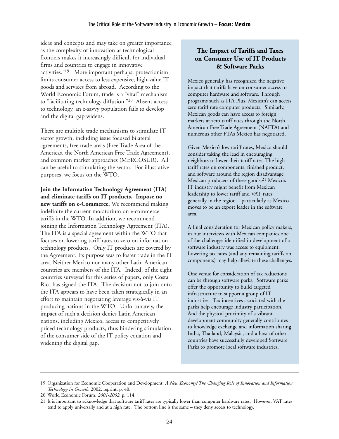ideas and concepts and may take on greater importance as the complexity of innovation at technological frontiers makes it increasingly difficult for individual firms and countries to engage in innovative activities."19 More important perhaps, protectionism limits consumer access to less expensive, high-value IT goods and services from abroad. According to the World Economic Forum, trade is a "vital" mechanism to "facilitating technology diffusion."20 Absent access to technology, an e-savvy population fails to develop and the digital gap widens.

There are multiple trade mechanisms to stimulate IT sector growth, including issue focused bilateral agreements, free trade areas (Free Trade Area of the Americas, the North American Free Trade Agreement), and common market approaches (MERCOSUR). All can be useful to stimulating the sector. For illustrative purposes, we focus on the WTO.

**Join the Information Technology Agreement (ITA) and eliminate tariffs on IT products. Impose no new tariffs on e-Commerce.** We recommend making indefinite the current moratorium on e-commerce tariffs in the WTO. In addition, we recommend joining the Information Technology Agreement (ITA). The ITA is a special agreement within the WTO that focuses on lowering tariff rates to zero on information technology products. Only IT products are covered by the Agreement. Its purpose was to foster trade in the IT area. Neither Mexico nor many other Latin American countries are members of the ITA. Indeed, of the eight countries surveyed for this series of papers, only Costa Rica has signed the ITA. The decision not to join onto the ITA appears to have been taken strategically in an effort to maintain negotiating leverage vis-à-vis IT producing nations in the WTO. Unfortunately, the impact of such a decision denies Latin American nations, including Mexico, access to competitively priced technology products, thus hindering stimulation of the consumer side of the IT policy equation and widening the digital gap.

## **The Impact of Tariffs and Taxes on Consumer Use of IT Products & Software Parks**

Mexico generally has recognized the negative impact that tariffs have on consumer access to computer hardware and software. Through programs such as ITA Plus, Mexican's can access zero tariff rate computer products. Similarly, Mexican goods can have access to foreign markets at zero tariff rates through the North American Free Trade Agreement (NAFTA) and numerous other FTAs Mexico has negotiated.

Given Mexico's low tariff rates, Mexico should consider taking the lead in encouraging neighbors to lower their tariff rates. The high tariff rates on components, finished product, and software around the region disadvantage Mexican producers of these goods.21 Mexico's IT industry might benefit from Mexican leadership to lower tariff and VAT rates generally in the region – particularly as Mexico moves to be an export leader in the software area.

A final consideration for Mexican policy makers, in our interviews with Mexican companies one of the challenges identified in development of a software industry was access to equipment. Lowering tax rates (and any remaining tariffs on components) may help alleviate these challenges.

One venue for consideration of tax reductions can be through software parks. Software parks offer the opportunity to build targeted infrastructure to support a group of IT industries. Tax incentives associated with the parks help encourage industry participation. And the physical proximity of a vibrant development community generally contributes to knowledge exchange and information sharing. India, Thailand, Malaysia, and a host of other countries have successfully developed Software Parks to promote local software industries.

<sup>19</sup> Organization for Economic Cooperation and Development, *A New Economy? The Changing Role of Innovation and Information Technology in Growth*, 2002, reprint, p. 40.

<sup>20</sup> World Economic Forum, *2001-2002*, p. 114.

<sup>21</sup> It is important to acknowledge that software tariff rates are typically lower than computer hardware rates. However, VAT rates tend to apply universally and at a high rate. The bottom line is the same – they deny access to technology.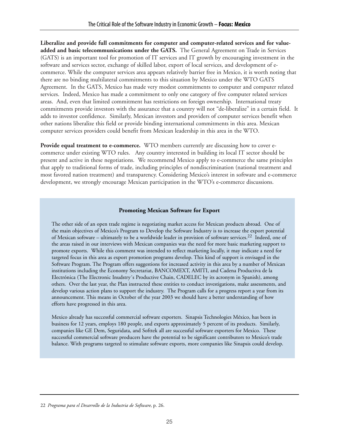**Liberalize and provide full commitments for computer and computer-related services and for valueadded and basic telecommunications under the GATS.** The General Agreement on Trade in Services (GATS) is an important tool for promotion of IT services and IT growth by encouraging investment in the software and services sector, exchange of skilled labor, export of local services, and development of ecommerce. While the computer services area appears relatively barrier free in Mexico, it is worth noting that there are no binding multilateral commitments to this situation by Mexico under the WTO GATS Agreement. In the GATS, Mexico has made very modest commitments to computer and computer related services. Indeed, Mexico has made a commitment to only one category of five computer related services areas. And, even that limited commitment has restrictions on foreign ownership. International treaty commitments provide investors with the assurance that a country will not "de-liberalize" in a certain field. It adds to investor confidence. Similarly, Mexican investors and providers of computer services benefit when other nations liberalize this field or provide binding international commitments in this area. Mexican computer services providers could benefit from Mexican leadership in this area in the WTO.

**Provide equal treatment to e-commerce.** WTO members currently are discussing how to cover ecommerce under existing WTO rules. Any country interested in building its local IT sector should be present and active in these negotiations. We recommend Mexico apply to e-commerce the same principles that apply to traditional forms of trade, including principles of nondiscrimination (national treatment and most favored nation treatment) and transparency. Considering Mexico's interest in software and e-commerce development, we strongly encourage Mexican participation in the WTO's e-commerce discussions.

#### **Promoting Mexican Software for Export**

The other side of an open trade regime is negotiating market access for Mexican products abroad. One of the main objectives of Mexico's Program to Develop the Software Industry is to increase the export potential of Mexican software – ultimately to be a worldwide leader in provision of software services.22 Indeed, one of the areas raised in our interviews with Mexican companies was the need for more basic marketing support to promote exports. While this comment was intended to reflect marketing locally, it may indicate a need for targeted focus in this area as export promotion programs develop. This kind of support is envisaged in the Software Program. The Program offers suggestions for increased activity in this area by a number of Mexican institutions including the Economy Secretariat, BANCOMEXT, AMITI, and Cadena Productiva de la Electrónica (The Electronic Inudstry´s Productive Chain, CADELEC by its acronym in Spanish), among others. Over the last year, the Plan instructed these entities to conduct investigations, make assessments, and develop various action plans to support the industry. The Program calls for a progress report a year from its announcement. This means in October of the year 2003 we should have a better understanding of how efforts have progressed in this area.

Mexico already has successful commercial software exporters. Sinapsis Technologies México, has been in business for 12 years, employs 180 people, and exports approximately 5 percent of its products. Similarly, companies like GE Dem, Seguridata, and Softtek all are successful software exporters for Mexico. These successful commercial software producers have the potential to be significant contributors to Mexico's trade balance. With programs targeted to stimulate software exports, more companies like Sinapsis could develop.

<sup>22</sup> *Programa para el Desarrollo de la Industria de Software*, p. 26.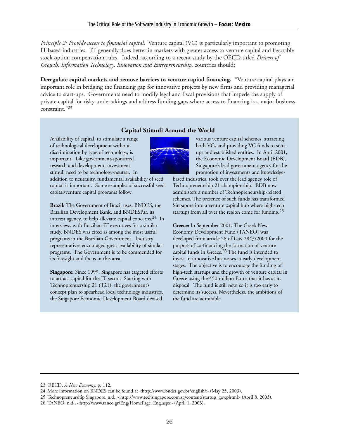*Principle 2: Provide access to financial capital.* Venture capital (VC) is particularly important to promoting IT-based industries. IT generally does better in markets with greater access to venture capital and favorable stock option compensation rules. Indeed, according to a recent study by the OECD titled *Drivers of Growth: Information Technology, Innovation and Entrepreneurship*, countries should:

**Deregulate capital markets and remove barriers to venture capital financing.** "Venture capital plays an important role in bridging the financing gap for innovative projects by new firms and providing managerial advice to start-ups. Governments need to modify legal and fiscal provisions that impede the supply of private capital for risky undertakings and address funding gaps where access to financing is a major business constraint."23

#### **Capital Stimuli Around the World**

Availability of capital, to stimulate a range of technological development without discrimination by type of technology, is important. Like government-sponsored research and development, investment stimuli need to be technology-neutral. In

addition to neutrality, fundamental availability of seed capital is important. Some examples of successful seed capital/venture capital programs follow:

**Brazil:** The Government of Brazil uses, BNDES, the Brazilian Development Bank, and BNDESPar, its interest agency, to help alleviate capital concerns.<sup>24</sup> In interviews with Brazilian IT executives for a similar study, BNDES was cited as among the most useful programs in the Brazilian Government. Industry representatives encouraged great availability of similar programs. The Government is to be commended for its foresight and focus in this area.

**Singapore:** Since 1999, Singapore has targeted efforts to attract capital for the IT sector. Starting with Technoprenuership 21 (T21), the government's concept plan to spearhead local technology industries, the Singapore Economic Development Board devised

various venture capital schemes, attracting both VCs and providing VC funds to startups and established entities. In April 2001, the Economic Development Board (EDB), Singapore's lead government agency for the promotion of investments and knowledge-

based industries, took over the lead agency role of Technopreneurship 21 championship. EDB now administers a number of Technopreneurship-related schemes. The presence of such funds has transformed Singapore into a venture capital hub where high-tech startups from all over the region come for funding.<sup>25</sup>

**Greece:** In September 2001, The Greek New Economy Development Fund (TANEO) was developed from article 28 of Law 2843/2000 for the purpose of co-financing the formation of venture capital funds in Greece.<sup>26</sup> The fund is intended to invest in innovative businesses at early development stages. The objective is to encourage the funding of high-tech startups and the growth of venture capital in Greece using the 450 million Euros that it has at its disposal. The fund is still new, so it is too early to determine its success. Nevertheless, the ambitions of the fund are admirable.

<sup>23</sup> OECD, *A New Economy*, p. 112.

<sup>24</sup> More information on BNDES can be found at <http://www.bndes.gov.br/english/> (May 25, 2003).

<sup>25</sup> Technopreneurship Singapore, n.d., <http://www.techsingapore.com.sg/content/startup\_gov.phtml> (April 8, 2003).

<sup>26</sup> TANEO, n.d., <http://www.taneo.gr/Eng/HomePage\_Eng.aspx> (April 1, 2003).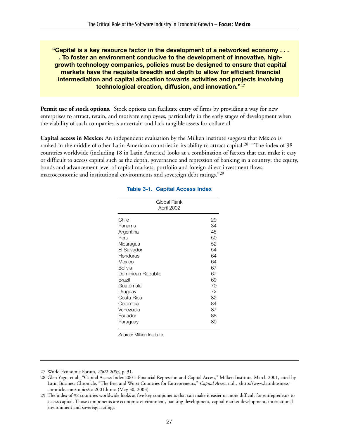**"Capital is a key resource factor in the development of a networked economy . . . . To foster an environment conducive to the development of innovative, highgrowth technology companies, policies must be designed to ensure that capital markets have the requisite breadth and depth to allow for efficient financial intermediation and capital allocation towards activities and projects involving technological creation, diffusion, and innovation."**27

**Permit use of stock options.** Stock options can facilitate entry of firms by providing a way for new enterprises to attract, retain, and motivate employees, particularly in the early stages of development when the viability of such companies is uncertain and lack tangible assets for collateral.

**Capital access in Mexico:** An independent evaluation by the Milken Institute suggests that Mexico is ranked in the middle of other Latin American countries in its ability to attract capital.<sup>28</sup> "The index of 98 countries worldwide (including 18 in Latin America) looks at a combination of factors that can make it easy or difficult to access capital such as the depth, governance and repression of banking in a country; the equity, bonds and advancement level of capital markets; portfolio and foreign direct investment flows; macroeconomic and institutional environments and sovereign debt ratings."<sup>29</sup>

| Global Rank<br>April 2002 |    |
|---------------------------|----|
| Chile                     | 29 |
| Panama                    | 34 |
| Argentina                 | 45 |
| Peru                      | 50 |
| Nicaragua                 | 52 |
| El Salvador               | 54 |
| Honduras                  | 64 |
| Mexico                    | 64 |
| Bolivia                   | 67 |
| Dominican Republic        | 67 |
| Brazil                    | 69 |
| Guatemala                 | 70 |
| Uruguay                   | 72 |
| Costa Rica                | 82 |
| Colombia                  | 84 |
| Venezuela                 | 87 |
| Ecuador                   | 88 |
| Paraguay                  | 89 |

#### **Table 3-1. Capital Access Index**

Source: Milken Institute.

<sup>27</sup> World Economic Forum, *2002-2003*, p. 31.

<sup>28</sup> Glen Yago, et al., "Capital Access Index 2001: Financial Repression and Capital Access," Milken Institute, March 2001, cited by Latin Business Chronicle, "The Best and Worst Countries for Entrepreneurs," *Capital Access*, n.d., <http://www.latinbusinesschronicle.com/topics/cai2001.htm> (May 30, 2003).

<sup>29</sup> The index of 98 countries worldwide looks at five key components that can make it easier or more difficult for entrepreneurs to access capital. Those components are economic environment, banking development, capital market development, international environment and sovereign ratings.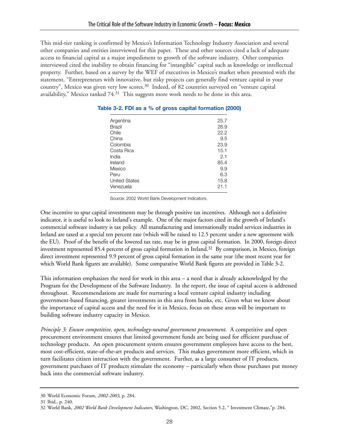This mid-tier ranking is confirmed by Mexico's Information Technology Industry Association and several other companies and entities interviewed for this paper. These and other sources cited a lack of adequate access to financial capital as a major impediment to growth of the software industry. Other companies interviewed cited the inability to obtain financing for "intangible" capital such as knowledge or intellectual property. Further, based on a survey by the WEF of executives in Mexico's market when presented with the statement, "Entrepreneurs with innovative, but risky projects can generally find venture capital in your country", Mexico was given very low scores.<sup>30</sup> Indeed, of 82 countries surveyed on "venture capital availability," Mexico ranked 74.<sup>31</sup> This suggests more work needs to be done in this area.

| Argentina            | 25.7 |
|----------------------|------|
| Brazil               | 26.9 |
| Chile                | 22.2 |
| China                | 9.5  |
| Colombia             | 23.9 |
| Costa Rica           | 15.1 |
| India                | 2.1  |
| Ireland              | 85.4 |
| Mexico               | 9.9  |
| Peru                 | 6.3  |
| <b>United States</b> | 15.8 |
| Venezuela            | 21.1 |
|                      |      |

#### **Table 3-2. FDI as a % of gross capital formation (2000)**

Source: 2002 World Bank Development Indicators.

One incentive to spur capital investments may be through positive tax incentives. Although not a definitive indicator, it is useful to look to Ireland's example. One of the major factors cited in the growth of Ireland's commercial software industry is tax policy. All manufacturing and internationally traded services industries in Ireland are taxed at a special ten percent rate (which will be raised to 12.5 percent under a new agreement with the EU). Proof of the benefit of the lowered tax rate, may be in gross capital formation. In 2000, foreign direct investment represented 85.4 percent of gross capital formation in Ireland.32 By comparison, in Mexico, foreign direct investment represented 9.9 percent of gross capital formation in the same year (the most recent year for which World Bank figures are available). Some comparative World Bank figures are provided in Table 3-2.

This information emphasizes the need for work in this area – a need that is already acknowledged by the Program for the Development of the Software Industry. In the report, the issue of capital access is addressed throughout. Recommendations are made for nurturing a local venture capital industry including government-based financing, greater investments in this area from banks, etc. Given what we know about the importance of capital access and the need for it in Mexico, focus on these areas will be important to building software industry capacity in Mexico.

*Principle 3: Ensure competitive, open, technology-neutral government procurement.* A competitive and open procurement environment ensures that limited government funds are being used for efficient purchase of technology products. An open procurement system ensures government employees have access to the best, most cost-efficient, state-of-the-art products and services. This makes government more efficient, which in turn facilitates citizen interaction with the government. Further, as a large consumer of IT products, government purchases of IT products stimulate the economy – particularly when those purchases put money back into the commercial software industry.

<sup>30</sup> World Economic Forum, *2002-2003*, p. 284.

<sup>31</sup> Ibid., p. 240.

<sup>32</sup> World Bank, *2002 World Bank Development Indicators*, Washington, DC, 2002, Section 5.2, " Investment Climate,"p. 284.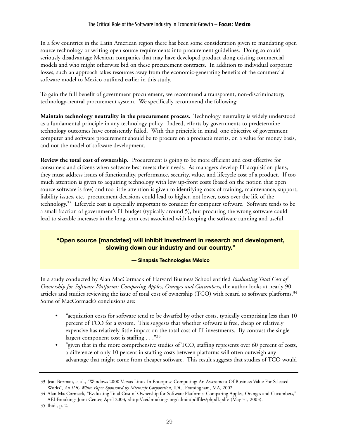In a few countries in the Latin American region there has been some consideration given to mandating open source technology or writing open source requirements into procurement guidelines. Doing so could seriously disadvantage Mexican companies that may have developed product along existing commercial models and who might otherwise bid on these procurement contracts. In addition to individual corporate losses, such an approach takes resources away from the economic-generating benefits of the commercial software model to Mexico outlined earlier in this study.

To gain the full benefit of government procurement, we recommend a transparent, non-discriminatory, technology-neutral procurement system. We specifically recommend the following:

**Maintain technology neutrality in the procurement process.** Technology neutrality is widely understood as a fundamental principle in any technology policy. Indeed, efforts by governments to predetermine technology outcomes have consistently failed. With this principle in mind, one objective of government computer and software procurement should be to procure on a product's merits, on a value for money basis, and not the model of software development.

**Review the total cost of ownership.** Procurement is going to be more efficient and cost effective for consumers and citizens when software best meets their needs. As managers develop IT acquisition plans, they must address issues of functionality, performance, security, value, and lifecycle cost of a product. If too much attention is given to acquiring technology with low up-front costs (based on the notion that open source software is free) and too little attention is given to identifying costs of training, maintenance, support, liability issues, etc., procurement decisions could lead to higher, not lower, costs over the life of the technology.33 Lifecycle cost is especially important to consider for computer software. Software tends to be a small fraction of government's IT budget (typically around 5), but procuring the wrong software could lead to sizeable increases in the long-term cost associated with keeping the software running and useful.

### **"Open source [mandates] will inhibit investment in research and development, slowing down our industry and our country."**

#### **— Sinapsis Technologies México**

In a study conducted by Alan MacCormack of Harvard Business School entitled *Evaluating Total Cost of Ownership for Software Platforms: Comparing Apples, Oranges and Cucumbers*, the author looks at nearly 90 articles and studies reviewing the issue of total cost of ownership (TCO) with regard to software platforms.<sup>34</sup> Some of MacCormack's conclusions are:

- "acquisition costs for software tend to be dwarfed by other costs, typically comprising less than 10 percent of TCO for a system. This suggests that whether software is free, cheap or relatively expensive has relatively little impact on the total cost of IT investments. By contrast the single largest component cost is staffing . . ."35
- "given that in the more comprehensive studies of TCO, staffing represents over 60 percent of costs, a difference of only 10 percent in staffing costs between platforms will often outweigh any advantage that might come from cheaper software. This result suggests that studies of TCO would

<sup>33</sup> Jean Bozman, et al., "Windows 2000 Versus Linux In Enterprise Computing: An Assessment Of Business Value For Selected Works", *An IDC White Paper Sponsored by Microsoft Corporation*, IDC, Framingham, MA, 2002.

<sup>34</sup> Alan MacCormack, "Evaluating Total Cost of Ownership for Software Platforms: Comparing Apples, Oranges and Cucumbers," AEI-Brookings Joint Center, April 2003, <http://aei.brookings.org/admin/pdffiles/phpdI.pdf> (May 31, 2003).

<sup>35</sup> Ibid., p. 2.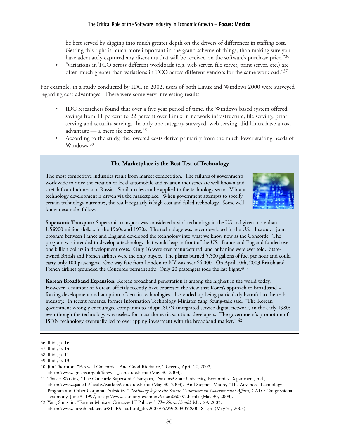be best served by digging into much greater depth on the drivers of differences in staffing cost. Getting this right is much more important in the grand scheme of things, than making sure you have adequately captured any discounts that will be received on the software's purchase price."36

• "variations in TCO across different workloads (e.g. web server, file server, print server, etc.) are often much greater than variations in TCO across different vendors for the same workload."37

For example, in a study conducted by IDC in 2002, users of both Linux and Windows 2000 were surveyed regarding cost advantages. There were some very interesting results.

- IDC researchers found that over a five year period of time, the Windows based system offered savings from 11 percent to 22 percent over Linux in network infrastructure, file serving, print serving and security serving. In only one category surveyed, web serving, did Linux have a cost advantage — a mere six percent. $38$
- According to the study, the lowered costs derive primarily from the much lower staffing needs of Windows.<sup>39</sup>

#### **The Marketplace is the Best Test of Technology**

The most competitive industries result from market competition. The failures of governments worldwide to drive the creation of local automobile and aviation industries are well known and stretch from Indonesia to Russia. Similar rules can be applied to the technology sector. Vibrant technology development is driven via the marketplace. When government attempts to specify certain technology outcomes, the result regularly is high cost and failed technology. Some wellknown examples follow.



**Supersonic Transport:** Supersonic transport was considered a vital technology in the US and given more than US\$900 million dollars in the 1960s and 1970s. The technology was never developed in the US. Instead, a joint program between France and England developed the technology into what we know now as the Concorde. The program was intended to develop a technology that would leap in front of the US. France and England funded over one billion dollars in development costs. Only 16 were ever manufactured, and only nine were ever sold. Stateowned British and French airlines were the only buyers. The planes burned 5,500 gallons of fuel per hour and could carry only 100 passengers. One-way fare from London to NY was over \$4,000. On April 10th, 2003 British and French airlines grounded the Concorde permanently. Only 20 passengers rode the last flight.<sup>40 41</sup>

**Korean Broadband Expansion:** Korea's broadband penetration is among the highest in the world today. However, a number of Korean officials recently have expressed the view that Korea's approach to broadband – forcing development and adoption of certain technologies - has ended up being particularly harmful to the tech industry. In recent remarks, former Information Technology Minister Yang Seung-taik said, "The Korean government wrongly encouraged companies to adopt ISDN (integrated service digital network) in the early 1980s even though the technology was useless for most domestic solutions developers. The government's promotion of ISDN technology eventually led to overlapping investment with the broadband market." 42

<sup>36</sup> Ibid., p. 16.

<sup>37</sup> Ibid., p. 14.

<sup>38</sup> Ibid., p. 11.

<sup>39</sup> Ibid., p. 13.

<sup>40</sup> Jim Thornton, "Farewell Concorde - And Good Riddance," iGreens, April 12, 2002, <http://www.igreens.org.uk/farewell\_concorde.htm> (May 30, 2003).

<sup>41</sup> Thayer Watkins, "The Concorde Supersonic Transport," San José State University, Economics Department, n.d., <http://www.sjsu.edu/faculty/watkins/concorde.htm> (May 30, 2003). And Stephen Moore, "The Advanced Technology Program and Other Corporate Subsidies," *Testimony before the Senate Committee on Governmental Affairs*, CATO Congressional Testimony, June 3, 1997, <http://www.cato.org/testimony/ct-sm060397.html> (May 30, 2003).

<sup>42</sup> Yang Sung-jin, "Former Minister Criticizes IT Policies," *The Korea Herald*, May 29, 2003, <http://www.koreaherald.co.kr/SITE/data/html\_dir/2003/05/29/200305290058.asp> (May 31, 2003).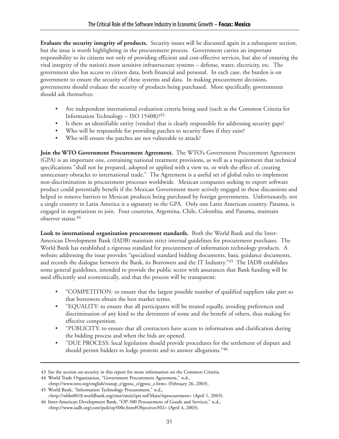**Evaluate the security integrity of products.** Security issues will be discussed again in a subsequent section, but the issue is worth highlighting in the procurement process. Government carries an important responsibility to its citizens not only of providing efficient and cost-effective services, but also of ensuring the vital integrity of the nation's most sensitive infrastructure systems – defense, water, electricity, etc. The government also has access to citizen data, both financial and personal. In each case, the burden is on government to ensure the security of these systems and data. In making procurement decisions, governments should evaluate the security of products being purchased. More specifically, governments should ask themselves:

- Are independent international evaluation criteria being used (such as the Common Criteria for Information Technology – ISO 15408)?43
- Is there an identifiable entity (vendor) that is clearly responsible for addressing security gaps?
- Who will be responsible for providing patches to security flaws if they exist?
- Who will ensure the patches are not vulnerable to attack?

Join the WTO Government Procurement Agreement. The WTO's Government Procurement Agreement (GPA) is an important one, containing national treatment provisions, as well as a requirement that technical specifications "shall not be prepared, adopted or applied with a view to, or with the effect of, creating unnecessary obstacles to international trade." The Agreement is a useful set of global rules to implement non-discrimination in procurement processes worldwide. Mexican companies seeking to export software product could potentially benefit if the Mexican Government more actively engaged in these discussions and helped to remove barriers to Mexican products being purchased by foreign governments. Unfortunately, not a single country in Latin America is a signatory to the GPA. Only one Latin American country, Panama, is engaged in negotiations to join. Four countries, Argentina, Chile, Colombia, and Panama, maintain observer status.44

**Look to international organization procurement standards.** Both the World Bank and the Inter-American Development Bank (IADB) maintain strict internal guidelines for procurement purchases. The World Bank has established a rigorous standard for procurement of information technology products. A website addressing the issue provides "specialized standard bidding documents, basic guidance documents, and records the dialogue between the Bank, its Borrowers and the IT Industry."45 The IADB establishes some general guidelines, intended to provide the public sector with assurances that Bank funding will be used efficiently and economically, and that the process will be transparent:

- "COMPETITION: to ensure that the largest possible number of qualified suppliers take part so that borrowers obtain the best market terms.
- "EQUALITY: to ensure that all participants will be treated equally, avoiding preferences and discrimination of any kind to the detriment of some and the benefit of others, thus making for effective competition.
- "PUBLICITY: to ensure that all contractors have access to information and clarification during the bidding process and when the bids are opened.
- "DUE PROCESS: local legislation should provide procedures for the settlement of dispute and should permit bidders to lodge protests and to answer allegations."46

<sup>43</sup> See the section on security in this report for more information on the Common Criteria.

<sup>44</sup> World Trade Organization, "Government Procurement Agreement," n.d.,

<sup>&</sup>lt;http://www.wto.org/english/tratop\_e/gproc\_e/gproc\_e.htm> (February 26, 2003). 45 World Bank, "Information Technology Procurement," n.d.,

<sup>&</sup>lt;http://wbln0018.worldbank.org/emt/emtii/ipit.nsf/Main/itprocurement> (April 1, 2003).

<sup>46</sup> Inter-American Development Bank, "OP-500 Procurement of Goods and Services," n.d., <http://www.iadb.org/cont/poli/op500e.htm#Objectives502> (April 4, 2003).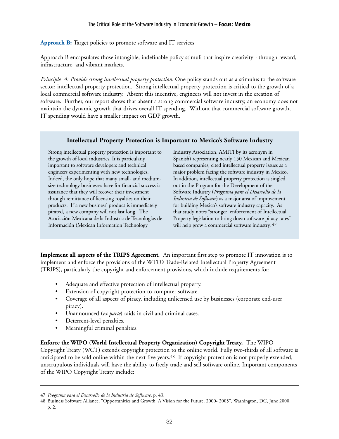### **Approach B:** Target policies to promote software and IT services

Approach B encapsulates those intangible, indefinable policy stimuli that inspire creativity - through reward, infrastructure, and vibrant markets.

*Principle 4: Provide strong intellectual property protection.* One policy stands out as a stimulus to the software sector: intellectual property protection. Strong intellectual property protection is critical to the growth of a local commercial software industry. Absent this incentive, engineers will not invest in the creation of software. Further, our report shows that absent a strong commercial software industry, an economy does not maintain the dynamic growth that drives overall IT spending. Without that commercial software growth, IT spending would have a smaller impact on GDP growth.

### **Intellectual Property Protection is Important to Mexico's Software Industry**

Strong intellectual property protection is important to the growth of local industries. It is particularly important to software developers and technical engineers experimenting with new technologies. Indeed, the only hope that many small- and mediumsize technology businesses have for financial success is assurance that they will recover their investment through remittance of licensing royalties on their products. If a new business' product is immediately pirated, a new company will not last long. The Asociación Mexicana de la Industria de Tecnologías de Información (Mexican Information Technology

Industry Association, AMITI by its acronym in Spanish) representing nearly 150 Mexican and Mexican based companies, cited intellectual property issues as a major problem facing the software industry in Mexico. In addition, intellectual property protection is singled out in the Program for the Development of the Software Industry (*Programa para el Desarrollo de la Industria de Software*) as a major area of improvement for building Mexico's software industry capacity. As that study notes "stronger enforcement of Intellectual Property legislation to bring down software piracy rates" will help grow a commercial software industry.  $47$ 

**Implement all aspects of the TRIPS Agreement.** An important first step to promote IT innovation is to implement and enforce the provisions of the WTO's Trade-Related Intellectual Property Agreement (TRIPS), particularly the copyright and enforcement provisions, which include requirements for:

- Adequate and effective protection of intellectual property.
- Extension of copyright protection to computer software.
- Coverage of all aspects of piracy, including unlicensed use by businesses (corporate end-user piracy).
- Unannounced (*ex parte*) raids in civil and criminal cases.
- Deterrent-level penalties.
- Meaningful criminal penalties.

#### **Enforce the WIPO (World Intellectual Property Organization) Copyright Treaty.** The WIPO

Copyright Treaty (WCT) extends copyright protection to the online world. Fully two-thirds of all software is anticipated to be sold online within the next five years.<sup>48</sup> If copyright protection is not properly extended, unscrupulous individuals will have the ability to freely trade and sell software online. Important components of the WIPO Copyright Treaty include:

<sup>47</sup> *Programa para el Desarrollo de la Industria de Software,* p. 43.

<sup>48</sup> Business Software Alliance, "Opportunities and Growth: A Vision for the Future, 2000- 2005", Washington, DC, June 2000, p. 2.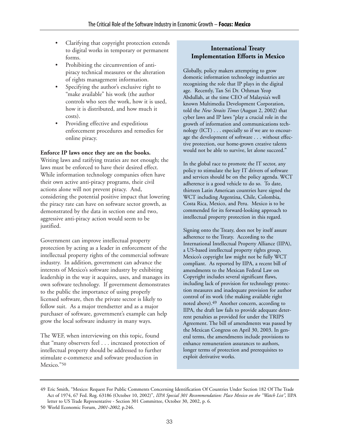- Clarifying that copyright protection extends to digital works in temporary or permanent forms.
- Prohibiting the circumvention of antipiracy technical measures or the alteration of rights management information.
- Specifying the author's exclusive right to "make available" his work (the author controls who sees the work, how it is used, how it is distributed, and how much it costs).
- Providing effective and expeditious enforcement procedures and remedies for online piracy.

#### **Enforce IP laws once they are on the books.**

Writing laws and ratifying treaties are not enough; the laws must be enforced to have their desired effect. While information technology companies often have their own active anti-piracy programs, their civil actions alone will not prevent piracy. And, considering the potential positive impact that lowering the piracy rate can have on software sector growth, as demonstrated by the data in section one and two, aggressive anti-piracy action would seem to be justified.

Government can improve intellectual property protection by acting as a leader in enforcement of the intellectual property rights of the commercial software industry. In addition, government can advance the interests of Mexico's software industry by exhibiting leadership in the way it acquires, uses, and manages its own software technology. If government demonstrates to the public the importance of using properly licensed software, then the private sector is likely to follow suit. As a major trendsetter and as a major purchaser of software, government's example can help grow the local software industry in many ways.

The WEF, when interviewing on this topic, found that "many observers feel . . . increased protection of intellectual property should be addressed to further stimulate e-commerce and software production in Mexico."50

## **International Treaty Implementation Efforts in Mexico**

Globally, policy makers attempting to grow domestic information technology industries are recognizing the role that IP plays in the digital age. Recently, Tan Sri Dr. Othman Yeop Abdullah, at the time CEO of Malaysia's well known Multimedia Development Corporation, told the *New Straits Times* (August 2, 2002) that cyber laws and IP laws "play a crucial role in the growth of information and communications technology (ICT) . . . especially so if we are to encourage the development of software . . . without effective protection, our home-grown creative talents would not be able to survive, let alone succeed."

In the global race to promote the IT sector, any policy to stimulate the key IT drivers of software and services should be on the policy agenda. WCT adherence is a good vehicle to do so. To date, thirteen Latin American countries have signed the WCT including Argentina, Chile, Colombia, Costa Rica, Mexico, and Peru. Mexico is to be commended for its forward-looking approach to intellectual property protection in this regard.

Signing onto the Treaty, does not by itself assure adherence to the Treaty. According to the International Intellectual Property Alliance (IIPA), a US-based intellectual property rights group, Mexico's copyright law might not be fully WCT compliant. As reported by IIPA, a recent bill of amendments to the Mexican Federal Law on Copyright includes several significant flaws, including lack of provision for technology protection measures and inadequate provision for author control of its work (the making available right noted above).49 Another concern, according to IIPA, the draft law fails to provide adequate deterrent penalties as provided for under the TRIPS Agreement. The bill of amendments was passed by the Mexican Congress on April 30, 2003. In general terms, the amendments include provisions to enhance remuneration assurances to authors, longer terms of protection and prerequisites to exploit derivative works.

<sup>49</sup> Eric Smith, "Mexico: Request For Public Comments Concerning Identification Of Countries Under Section 182 Of The Trade Act of 1974, 67 Fed. Reg. 63186 (October 10, 2002)", *IIPA Special 301 Recommendation: Place Mexico on the "Watch List"*, IIPA letter to US Trade Representative - Section 301 Committee, October 30, 2002, p. 6.

<sup>50</sup> World Economic Forum, *2001-2002*, p.246.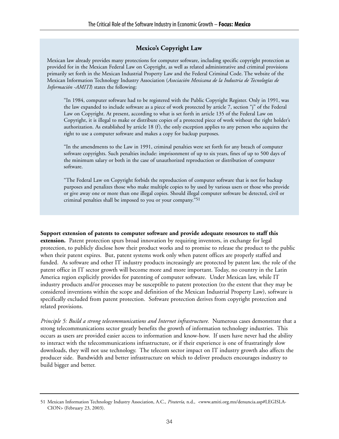#### **Mexico's Copyright Law**

Mexican law already provides many protections for computer software, including specific copyright protection as provided for in the Mexican Federal Law on Copyright, as well as related administrative and criminal provisions primarily set forth in the Mexican Industrial Property Law and the Federal Criminal Code. The website of the Mexican Information Technology Industry Association (*Asociación Mexicana de la Industria de Tecnologías de Información -AMITI*) states the following:

"In 1984, computer software had to be registered with the Public Copyright Register. Only in 1991, was the law expanded to include software as a piece of work protected by article 7, section "j" of the Federal Law on Copyright. At present, according to what is set forth in article 135 of the Federal Law on Copyright, it is illegal to make or distribute copies of a protected piece of work without the right holder's authorization. As established by article 18 (f), the only exception applies to any person who acquires the right to use a computer software and makes a copy for backup purposes.

"In the amendments to the Law in 1991, criminal penalties were set forth for any breach of computer software copyrights. Such penalties include: imprisonment of up to six years, fines of up to 500 days of the minimum salary or both in the case of unauthorized reproduction or distribution of computer software.

"The Federal Law on Copyright forbids the reproduction of computer software that is not for backup purposes and penalizes those who make multiple copies to by used by various users or those who provide or give away one or more than one illegal copies. Should illegal computer software be detected, civil or criminal penalties shall be imposed to you or your company."51

**Support extension of patents to computer software and provide adequate resources to staff this extension.** Patent protection spurs broad innovation by requiring inventors, in exchange for legal protection, to publicly disclose how their product works and to promise to release the product to the public when their patent expires. But, patent systems work only when patent offices are properly staffed and funded. As software and other IT industry products increasingly are protected by patent law, the role of the patent office in IT sector growth will become more and more important. Today, no country in the Latin America region explicitly provides for patenting of computer software. Under Mexican law, while IT industry products and/or processes may be susceptible to patent protection (to the extent that they may be considered inventions within the scope and definition of the Mexican Industrial Property Law), software is specifically excluded from patent protection. Software protection derives from copyright protection and related provisions.

*Principle 5: Build a strong telecommunications and Internet infrastructure.* Numerous cases demonstrate that a strong telecommunications sector greatly benefits the growth of information technology industries. This occurs as users are provided easier access to information and know-how. If users have never had the ability to interact with the telecommunications infrastructure, or if their experience is one of frustratingly slow downloads, they will not use technology. The telecom sector impact on IT industry growth also affects the producer side. Bandwidth and better infrastructure on which to deliver products encourages industry to build bigger and better.

<sup>51</sup> Mexican Information Technology Industry Association, A.C., *Piratería*, n.d., <www.amiti.org.mx/denuncia.asp#LEGISLA-CION> (February 23, 2003).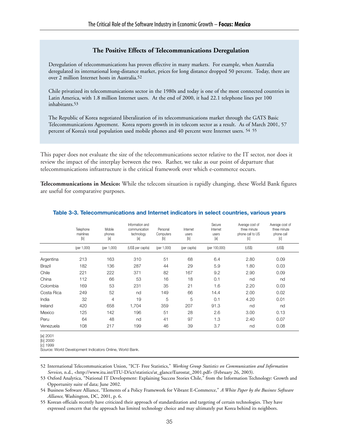#### **The Positive Effects of Telecommunications Deregulation**

Deregulation of telecommunications has proven effective in many markets. For example, when Australia deregulated its international long-distance market, prices for long distance dropped 50 percent. Today, there are over 2 million Internet hosts in Australia.52

Chile privatized its telecommunications sector in the 1980s and today is one of the most connected countries in Latin America, with 1.8 million Internet users. At the end of 2000, it had 22.1 telephone lines per 100 inhabitants.53

The Republic of Korea negotiated liberalization of its telecommunications market through the GATS Basic Telecommunications Agreement. Korea reports growth in its telecom sector as a result. As of March 2001, 57 percent of Korea's total population used mobile phones and 40 percent were Internet users. 54 55

This paper does not evaluate the size of the telecommunications sector relative to the IT sector, nor does it review the impact of the interplay between the two. Rather, we take as our point of departure that telecommunications infrastructure is the critical framework over which e-commerce occurs.

**Telecommunications in Mexico:** While the telecom situation is rapidly changing, these World Bank figures are useful for comparative purposes.

|            | Telephone<br>mainlines<br>$[b] % \begin{center} % \includegraphics[width=\linewidth]{imagesSupplemental_3.png} % \end{center} % \caption { % Our method can be used for the use of the image. % } % \label{fig:example} %$ | Mobile<br>phones<br>[a] | Information and<br>communication<br>technology<br>[a] | Personal<br>Computers<br>$[b]$ | Internet<br>users<br>$[b]$ | Secure<br>Internet<br>users<br>[a] | Average cost of<br>three minute<br>phone call to US<br>[c] | Average cost of<br>three minute<br>phone call<br>[c] |
|------------|----------------------------------------------------------------------------------------------------------------------------------------------------------------------------------------------------------------------------|-------------------------|-------------------------------------------------------|--------------------------------|----------------------------|------------------------------------|------------------------------------------------------------|------------------------------------------------------|
|            | (per 1,000)                                                                                                                                                                                                                | (per 1,000)             | (US\$ per capita)                                     | (per 1,000)                    | (per capita)               | (per 100,000)                      | (US\$)                                                     | (US\$)                                               |
| Argentina  | 213                                                                                                                                                                                                                        | 163                     | 310                                                   | 51                             | 68                         | 6.4                                | 2.80                                                       | 0.09                                                 |
| Brazil     | 182                                                                                                                                                                                                                        | 136                     | 287                                                   | 44                             | 29                         | 5.9                                | 1.80                                                       | 0.03                                                 |
| Chile      | 221                                                                                                                                                                                                                        | 222                     | 371                                                   | 82                             | 167                        | 9.2                                | 2.90                                                       | 0.09                                                 |
| China      | 112                                                                                                                                                                                                                        | 66                      | 53                                                    | 16                             | 18                         | 0.1                                | nd                                                         | nd                                                   |
| Colombia   | 169                                                                                                                                                                                                                        | 53                      | 231                                                   | 35                             | 21                         | 1.6                                | 2.20                                                       | 0.03                                                 |
| Costa Rica | 249                                                                                                                                                                                                                        | 52                      | nd                                                    | 149                            | 66                         | 14.4                               | 2.00                                                       | 0.02                                                 |
| India      | 32                                                                                                                                                                                                                         | 4                       | 19                                                    | 5                              | 5                          | 0.1                                | 4.20                                                       | 0.01                                                 |
| Ireland    | 420                                                                                                                                                                                                                        | 658                     | 1,704                                                 | 359                            | 207                        | 91.3                               | nd                                                         | nd                                                   |
| Mexico     | 125                                                                                                                                                                                                                        | 142                     | 196                                                   | 51                             | 28                         | 2.6                                | 3.00                                                       | 0.13                                                 |
| Peru       | 64                                                                                                                                                                                                                         | 48                      | nd                                                    | 41                             | 97                         | 1.3                                | 2.40                                                       | 0.07                                                 |
| Venezuela  | 108                                                                                                                                                                                                                        | 217                     | 199                                                   | 46                             | 39                         | 3.7                                | nd                                                         | 0.08                                                 |

#### **Table 3-3. Telecommunications and Internet indicators in select countries, various years**

[a] 2001 [b] 2000

[c] 1999

Source: World Development Indicators Online, World Bank.

52 International Telecommunication Union, "ICT- Free Statistics," *Working Group Statistics on Communication and Information Services*, n.d., <http://www.itu.int/ITU-D/ict/statistics/at\_glance/Eurostat\_2001.pdf> (February 26, 2003).

53 Oxford Analytica, "National IT Development: Explaining Success Stories Chile," from the Information Technology: Growth and Opportunity suite of data; June 2002.

54 Business Software Alliance, "Elements of a Policy Framework for Vibrant E-Commerce," *A White Paper by the Business Software Alliance*, Washington, DC, 2001, p. 6.

55 Korean officials recently have criticized their approach of standardization and targeting of certain technologies. They have expressed concern that the approach has limited technology choice and may ultimately put Korea behind its neighbors.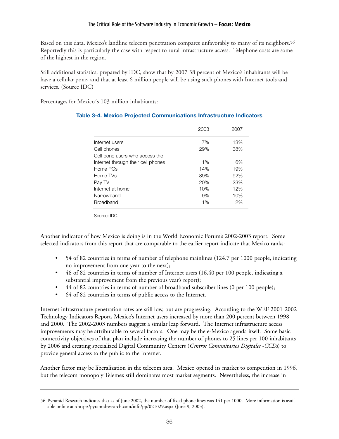Based on this data, Mexico's landline telecom penetration compares unfavorably to many of its neighbors.<sup>56</sup> Reportedly this is particularly the case with respect to rural infrastructure access. Telephone costs are some of the highest in the region.

Still additional statistics, prepared by IDC, show that by 2007 38 percent of Mexico's inhabitants will be have a cellular pone, and that at least 6 million people will be using such phones with Internet tools and services. (Source IDC)

Percentages for Mexico´s 103 million inhabitants:

|                                    | 2003  | 2007 |
|------------------------------------|-------|------|
| Internet users                     | 7%    | 13%  |
| Cell phones                        | 29%   | 38%  |
| Cell pone users who access the     |       |      |
| Internet through their cell phones | $1\%$ | 6%   |
| Home PCs                           | 14%   | 19%  |
| Home TVs                           | 89%   | 92%  |
| Pay TV                             | 20%   | 23%  |
| Internet at home                   | 10%   | 12%  |
| Narrowband                         | 9%    | 10%  |
| <b>Broadband</b>                   | 1%    | 2%   |

#### **Table 3-4. Mexico Projected Communications Infrastructure Indicators**

Source: IDC.

Another indicator of how Mexico is doing is in the World Economic Forum's 2002-2003 report. Some selected indicators from this report that are comparable to the earlier report indicate that Mexico ranks:

- 54 of 82 countries in terms of number of telephone mainlines (124.7 per 1000 people, indicating no improvement from one year to the next);
- 48 of 82 countries in terms of number of Internet users (16.40 per 100 people, indicating a substantial improvement from the previous year's report);
- 44 of 82 countries in terms of number of broadband subscriber lines (0 per 100 people);
- 64 of 82 countries in terms of public access to the Internet.

Internet infrastructure penetration rates are still low, but are progressing. According to the WEF 2001-2002 Technology Indicators Report, Mexico's Internet users increased by more than 200 percent between 1998 and 2000. The 2002-2003 numbers suggest a similar leap forward. The Internet infrastructure access improvements may be attributable to several factors. One may be the e-Mexico agenda itself. Some basic connectivity objectives of that plan include increasing the number of phones to 25 lines per 100 inhabitants by 2006 and creating specialized Digital Community Centers (*Centros Comunitarios Digitales -CCDs*) to provide general access to the public to the Internet.

Another factor may be liberalization in the telecom area. Mexico opened its market to competition in 1996, but the telecom monopoly Telemex still dominates most market segments. Nevertheless, the increase in

<sup>56</sup> Pyramid Research indicates that as of June 2002, the number of fixed phone lines was 141 per 1000. More information is available online at <http://pyramidresearch.com/info/pp/021029.asp> (June 9, 2003).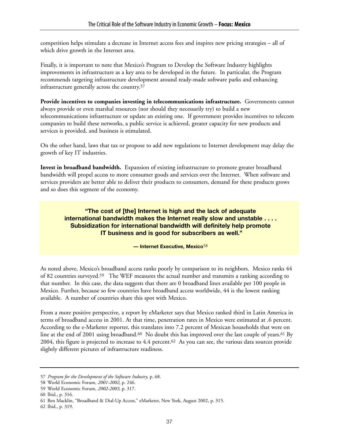competition helps stimulate a decrease in Internet access fees and inspires new pricing strategies – all of which drive growth in the Internet area.

Finally, it is important to note that Mexico's Program to Develop the Software Industry highlights improvements in infrastructure as a key area to be developed in the future. In particular, the Program recommends targeting infrastructure development around ready-made software parks and enhancing infrastructure generally across the country.57

**Provide incentives to companies investing in telecommunications infrastructure.** Governments cannot always provide or even marshal resources (nor should they necessarily try) to build a new telecommunications infrastructure or update an existing one. If government provides incentives to telecom companies to build these networks, a public service is achieved, greater capacity for new products and services is provided, and business is stimulated.

On the other hand, laws that tax or propose to add new regulations to Internet development may delay the growth of key IT industries.

**Invest in broadband bandwidth.** Expansion of existing infrastructure to promote greater broadband bandwidth will propel access to more consumer goods and services over the Internet. When software and services providers are better able to deliver their products to consumers, demand for these products grows and so does this segment of the economy.

#### **"The cost of [the] Internet is high and the lack of adequate international bandwidth makes the Internet really slow and unstable . . . . Subsidization for international bandwidth will definitely help promote IT business and is good for subscribers as well."**

#### **— Internet Executive, Mexico**58

As noted above, Mexico's broadband access ranks poorly by comparison to its neighbors. Mexico ranks 44 of 82 countries surveyed.59 The WEF measures the actual number and transmits a ranking according to that number. In this case, the data suggests that there are 0 broadband lines available per 100 people in Mexico. Further, because so few countries have broadband access worldwide, 44 is the lowest ranking available. A number of countries share this spot with Mexico.

From a more positive perspective, a report by eMarketer says that Mexico ranked third in Latin America in terms of broadband access in 2001. At that time, penetration rates in Mexico were estimated at .6 percent. According to the e-Marketer reporter, this translates into 7.2 percent of Mexican households that were on line at the end of 2001 using broadband.<sup>60</sup> No doubt this has improved over the last couple of years.<sup>61</sup> By 2004, this figure is projected to increase to 4.4 percent.62 As you can see, the various data sources provide slightly different pictures of infrastructure readiness.

<sup>57</sup> *Program for the Development of the Software Industry*, p. 68.

<sup>58</sup> World Economic Forum, *2001-2002*, p. 246.

<sup>59</sup> World Economic Forum, *2002-2003*, p. 317.

<sup>60</sup> Ibid., p. 316.

<sup>61</sup> Ben Macklin, "Broadband & Dial-Up Access," eMarketer, New York, August 2002, p. 315.

<sup>62</sup> Ibid., p. 319.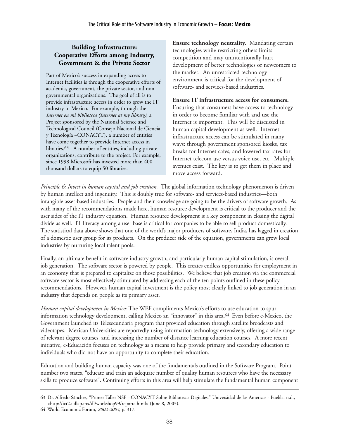## **Building Infrastructure: Cooperative Efforts among Industry, Government & the Private Sector**

Part of Mexico's success in expanding access to Internet facilities is through the cooperative efforts of academia, government, the private sector, and nongovernmental organizations. The goal of all is to provide infrastructure access in order to grow the IT industry in Mexico. For example, through the *Internet en mi biblioteca (Internet at my library)*, a Project sponsored by the National Science and Technological Council (Consejo Nacional de Ciencia y Tecnología –CONACYT), a number of entities have come together to provide Internet access in libraries.<sup>63</sup> A number of entities, including private organizations, contribute to the project. For example, since 1998 Microsoft has invested more than 400 thousand dollars to equip 50 libraries.

**Ensure technology neutrality.** Mandating certain technologies while restricting others limits competition and may unintentionally hurt development of better technologies or newcomers to the market. An unrestricted technology environment is critical for the development of software- and services-based industries.

#### **Ensure IT infrastructure access for consumers.**

Ensuring that consumers have access to technology in order to become familiar with and use the Internet is important. This will be discussed in human capital development as well. Internet infrastructure access can be stimulated in many ways: through government sponsored kiosks, tax breaks for Internet cafes, and lowered tax rates for Internet telecom use versus voice use, etc. Multiple avenues exist. The key is to get them in place and move access forward.

*Principle 6: Invest in human capital and job creation.* The global information technology phenomenon is driven by human intellect and ingenuity. This is doubly true for software- and services-based industries—both intangible asset-based industries. People and their knowledge are going to be the drivers of software growth. As with many of the recommendations made here, human resource development is critical to the producer and the user sides of the IT industry equation. Human resource development is a key component in closing the digital divide as well. IT literacy among a user base is critical for companies to be able to sell product domestically. The statistical data above shows that one of the world's major producers of software, India, has lagged in creation of a domestic user group for its products. On the producer side of the equation, governments can grow local industries by nurturing local talent pools.

Finally, an ultimate benefit in software industry growth, and particularly human capital stimulation, is overall job generation. The software sector is powered by people. This creates endless opportunities for employment in an economy that is prepared to capitalize on those possibilities. We believe that job creation via the commercial software sector is most effectively stimulated by addressing each of the ten points outlined in these policy recommendations. However, human capital investment is the policy most clearly linked to job generation in an industry that depends on people as its primary asset.

*Human capital development in Mexico:* The WEF compliments Mexico's efforts to use education to spur information technology development, calling Mexico an "innovator" in this area.64 Even before e-Mexico, the Government launched its Telesecundaria program that provided education through satellite broadcasts and videotapes. Mexican Universities are reportedly using information technology extensively, offering a wide range of relevant degree courses, and increasing the number of distance learning education courses. A more recent initiative, e-Educación focuses on technology as a means to help provide primary and secondary education to individuals who did not have an opportunity to complete their education.

Education and building human capacity was one of the fundamentals outlined in the Software Program. Point number two states, "educate and train an adequate number of quality human resources who have the necessary skills to produce software". Continuing efforts in this area will help stimulate the fundamental human component

<sup>63</sup> Dr. Alfredo Sánchez, "Primer Taller NSF - CONACYT Sobre Bibliotecas Digitales," Universidad de las Américas - Puebla, n.d., <http://ict2.udlap.mx/dl/workshop99/reporte.html> (June 8, 2003).

<sup>64</sup> World Economic Forum, *2002-2003*, p. 317.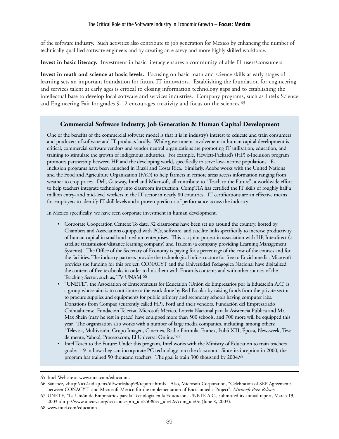of the software industry. Such activities also contribute to job generation for Mexico by enhancing the number of technically qualified software engineers and by creating an e-savvy and more highly skilled workforce.

**Invest in basic literacy.** Investment in basic literacy ensures a community of able IT users/consumers.

**Invest in math and science at basic levels.** Focusing on basic math and science skills at early stages of learning sets an important foundation for future IT innovators. Establishing the foundation for engineering and services talent at early ages is critical to closing information technology gaps and to establishing the intellectual base to develop local software and services industries. Company programs, such as Intel's Science and Engineering Fair for grades 9-12 encourages creativity and focus on the sciences.65

#### **Commercial Software Industry, Job Generation & Human Capital Development**

One of the benefits of the commercial software model is that it is in industry's interest to educate and train consumers and producers of software and IT products locally. While government involvement in human capital development is critical, commercial software vendors and vendor neutral organizations are promoting IT utilization, education, and training to stimulate the growth of indigenous industries. For example, Hewlett-Packard's (HP) e-Inclusion program promotes partnership between HP and the developing world, specifically to serve low-income populations. E-Inclusion programs have been launched in Brazil and Costa Rica. Similarly, Adobe works with the United Nations and the Food and Agriculture Organization (FAO) to help farmers in remote areas access information ranging from weather to crop prices. Dell, Gateway, Intel and Microsoft, all contribute to "Teach to the Future", a worldwide effort to help teachers integrate technology into classroom instruction. CompTIA has certified the IT skills of roughly half a million entry- and mid-level workers in the IT sector in nearly 80 countries. IT certifications are an effective means for employers to identify IT skill levels and a proven predictor of performance across the industry

In Mexico specifically, we have seen corporate investment in human development.

- Corporate Cooperation Centers: To date, 32 classrooms have been set up around the country, hosted by Chambers and Associations equipped with PCs, software, and satellite links specifically to increase productivity of human capital in small and medium enterprises. This is a joint project in association with HP, Interdirect (a satellite transmission/distance learning company) and Tralcom (a company providing Learning Management Systems). The Office of the Secretary of Economy is paying for a percentage of the cost of the courses and for the facilities. The industry partners provide the technological infrastructure for free to Enciclomedia. Microsoft provides the funding for this project. CONACYT and the Universidad Pedagógica Nacional have digitalized the content of free textbooks in order to link them with Encarta's contents and with other sources of the Teaching Sector, such as, TV UNAM.66
- "UNETE", the Association of Entrepreneurs for Education (Unión de Empresarios por la Educación A.C) is a group whose aim is to contribute to the work done by Red Escolar by raising funds from the private sector to procure supplies and equipments for public primary and secondary schools having computer labs. Donations from Compaq (currently called HP), Ford and their vendors, Fundación del Empresariado Chihuahuense, Fundación Televisa, Microsoft México, Lotería Nacional para la Asistencia Pública and Mr. Max Shein (may he rest in peace) have equipped more than 500 schools, and 700 more will be equipped this year. The organization also works with a number of large media companies, including, among others: "Televisa, Multivisión, Grupo Imagen, Cinemex, Radio Fórmula, Eumex, Publi XIII, Época, Newsweek, Teve de mente, Yahoo!, Proceso.com, El Universal Online."67
- Intel Teach to the Future: Under this program, Intel works with the Ministry of Education to train teachers grades 1-9 in how they can incorporate PC technology into the classroom. Since its inception in 2000, the program has trained 50 thousand teachers. The goal is train 300 thousand by 2004.68

<sup>65</sup> Intel Website at www.intel.com/education.

<sup>66</sup> Sánchez, <http://ict2.udlap.mx/dl/workshop99/reporte.html>. Also, Microsoft Corporation, "Celebration of SEP Agreements between CONACYT and Microsoft México for the implementation of Enciclomedia Project", *Microsoft Press Release*.

<sup>67</sup> UNETE, "La Unión de Empresarios para la Tecnología en la Educación, UNETE A.C., submitted its annual report, March 13, 2003 <http://www.uneteya.org/seccion.asp?it\_id=250&sec\_id=42&com\_id=0> (June 8, 2003).

<sup>68</sup> www.intel.com/education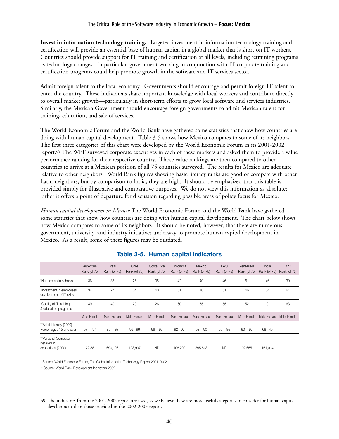**Invest in information technology training.** Targeted investment in information technology training and certification will provide an essential base of human capital in a global market that is short on IT workers. Countries should provide support for IT training and certification at all levels, including retraining programs as technology changes. In particular, government working in conjunction with IT corporate training and certification programs could help promote growth in the software and IT services sector.

Admit foreign talent to the local economy. Governments should encourage and permit foreign IT talent to enter the country. These individuals share important knowledge with local workers and contribute directly to overall market growth—particularly in short-term efforts to grow local software and services industries. Similarly, the Mexican Government should encourage foreign governments to admit Mexican talent for training, education, and sale of services.

The World Economic Forum and the World Bank have gathered some statistics that show how countries are doing with human capital development. Table 3-5 shows how Mexico compares to some of its neighbors. The first three categories of this chart were developed by the World Economic Forum in its 2001-2002 report.69 The WEF surveyed corporate executives in each of these markets and asked them to provide a value performance ranking for their respective country. Those value rankings are then compared to other countries to arrive at a Mexican position of all 75 countries surveyed. The results for Mexico are adequate relative to other neighbors. World Bank figures showing basic literacy ranks are good or compete with other Latin neighbors, but by comparison to India, they are high. It should be emphasized that this table is provided simply for illustrative and comparative purposes. We do not view this information as absolute; rather it offers a point of departure for discussion regarding possible areas of policy focus for Mexico.

*Human capital development in Mexico:* The World Economic Forum and the World Bank have gathered some statistics that show how countries are doing with human capital development. The chart below shows how Mexico compares to some of its neighbors. It should be noted, however, that there are numerous government, university, and industry initiatives underway to promote human capital development in Mexico. As a result, some of these figures may be outdated.

|                                                          | Argentina<br>Rank (of 75) | <b>Brazil</b><br>Rank (of 75) | Chile<br>Rank (of 75) | Costa Rica<br>Rank (of 75) | Colombia<br>Rank (of 75) | México<br>Rank (of 75) | Peru<br>Rank (of 75) | Venezuela<br>Rank (of 75) | India<br>Rank (of 75) | <b>RPC</b><br>Rank (of 75) |
|----------------------------------------------------------|---------------------------|-------------------------------|-----------------------|----------------------------|--------------------------|------------------------|----------------------|---------------------------|-----------------------|----------------------------|
| *Net access in schools                                   | 36                        | 37                            | 25                    | 35                         | 42                       | 40                     | 46                   | 61                        | 46                    | 39                         |
| *Investment in employees'<br>development of IT skills    | 34                        | 27                            | 34                    | 40                         | 61                       | 40                     | 61                   | 46                        | 34                    | 61                         |
| *Quality of IT training<br>& education programs          | 49                        | 40                            | 29                    | 26                         | 60                       | 55                     | 55                   | 52                        | 9                     | 63                         |
|                                                          | Male Female               | Male Female                   | Male Female           | Male Female                | Male Female              | Female<br>Male         | Male<br>Female       | Male Female               | Male Female           | Male Female                |
| ** Adult Literacy (2000)<br>Percentages 15 and over      | 97<br>97                  | 85<br>85                      | 96<br>96              | 96<br>96                   | 92<br>92                 | 93<br>90               | 95<br>85             | 93<br>92                  | 68<br>45              |                            |
| **Personal Computer<br>installed in<br>educations (2000) | 122,881                   | 690,196                       | 108,907               | <b>ND</b>                  | 108.209                  | 395,813                | <b>ND</b>            | 92,655                    | 161,014               |                            |

## **Table 3-5. Human capital indicators**

\* Source: World Economic Forum, The Global Information Technology Report 2001-2002

\*\* Source: World Bank Development Indicators 2002

<sup>69</sup> The indicators from the 2001-2002 report are used, as we believe these are more useful categories to consider for human capital development than those provided in the 2002-2003 report.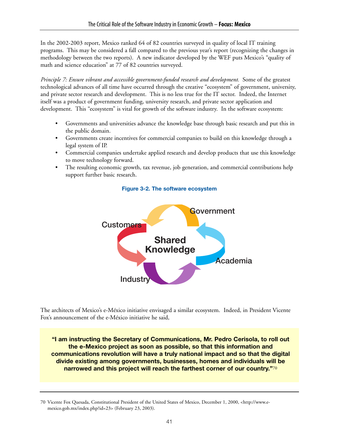In the 2002-2003 report, Mexico ranked 64 of 82 countries surveyed in quality of local IT training programs. This may be considered a fall compared to the previous year's report (recognizing the changes in methodology between the two reports). A new indicator developed by the WEF puts Mexico's "quality of math and science education" at 77 of 82 countries surveyed.

*Principle 7: Ensure vibrant and accessible government-funded research and development.* Some of the greatest technological advances of all time have occurred through the creative "ecosystem" of government, university, and private sector research and development. This is no less true for the IT sector. Indeed, the Internet itself was a product of government funding, university research, and private sector application and development. This "ecosystem" is vital for growth of the software industry. In the software ecosystem:

- Governments and universities advance the knowledge base through basic research and put this in the public domain.
- Governments create incentives for commercial companies to build on this knowledge through a legal system of IP.
- Commercial companies undertake applied research and develop products that use this knowledge to move technology forward.
- The resulting economic growth, tax revenue, job generation, and commercial contributions help support further basic research.



#### **Figure 3-2. The software ecosystem**

The architects of Mexico's e-México initiative envisaged a similar ecosystem. Indeed, in President Vicente Fox's announcement of the e-México initiative he said,

**"I am instructing the Secretary of Communications, Mr. Pedro Cerisola, to roll out the e-Mexico project as soon as possible, so that this information and communications revolution will have a truly national impact and so that the digital divide existing among governments, businesses, homes and individuals will be narrowed and this project will reach the farthest corner of our country."**70

<sup>70</sup> Vicente Fox Quesada, Constitutional President of the United States of Mexico, December 1, 2000, <http://www.emexico.gob.mx/index.php?id=23> (February 23, 2003).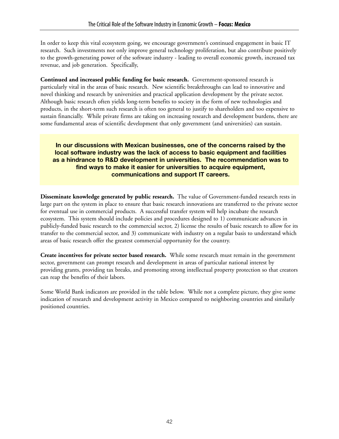In order to keep this vital ecosystem going, we encourage government's continued engagement in basic IT research. Such investments not only improve general technology proliferation, but also contribute positively to the growth-generating power of the software industry - leading to overall economic growth, increased tax revenue, and job generation. Specifically,

**Continued and increased public funding for basic research.** Government-sponsored research is particularly vital in the areas of basic research. New scientific breakthroughs can lead to innovative and novel thinking and research by universities and practical application development by the private sector. Although basic research often yields long-term benefits to society in the form of new technologies and products, in the short-term such research is often too general to justify to shareholders and too expensive to sustain financially. While private firms are taking on increasing research and development burdens, there are some fundamental areas of scientific development that only government (and universities) can sustain.

### **In our discussions with Mexican businesses, one of the concerns raised by the local software industry was the lack of access to basic equipment and facilities as a hindrance to R&D development in universities. The recommendation was to find ways to make it easier for universities to acquire equipment, communications and support IT careers.**

**Disseminate knowledge generated by public research.** The value of Government-funded research rests in large part on the system in place to ensure that basic research innovations are transferred to the private sector for eventual use in commercial products. A successful transfer system will help incubate the research ecosystem. This system should include policies and procedures designed to 1) communicate advances in publicly-funded basic research to the commercial sector, 2) license the results of basic research to allow for its transfer to the commercial sector, and 3) communicate with industry on a regular basis to understand which areas of basic research offer the greatest commercial opportunity for the country.

**Create incentives for private sector based research.** While some research must remain in the government sector, government can prompt research and development in areas of particular national interest by providing grants, providing tax breaks, and promoting strong intellectual property protection so that creators can reap the benefits of their labors.

Some World Bank indicators are provided in the table below. While not a complete picture, they give some indication of research and development activity in Mexico compared to neighboring countries and similarly positioned countries.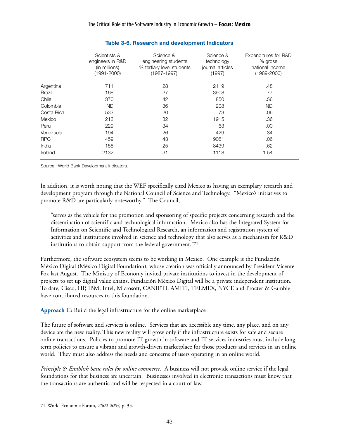|               | Scientists &<br>engineers in R&D<br>(in millions)<br>(1991-2000) | Science &<br>engineering students<br>% tertiary level students<br>$(1987 - 1997)$ | Science &<br>technology<br>journal articles<br>(1997) | Expenditures for R&D<br>% gross<br>national income<br>$(1989 - 2000)$ |
|---------------|------------------------------------------------------------------|-----------------------------------------------------------------------------------|-------------------------------------------------------|-----------------------------------------------------------------------|
| Argentina     | 711                                                              | 28                                                                                | 2119                                                  | .48                                                                   |
| <b>Brazil</b> | 168                                                              | 27                                                                                | 3908                                                  | .77                                                                   |
| Chile         | 370                                                              | 42                                                                                | 850                                                   | .56                                                                   |
| Colombia      | <b>ND</b>                                                        | 36                                                                                | 208                                                   | <b>ND</b>                                                             |
| Costa Rica    | 533                                                              | 20                                                                                | 73                                                    | .06                                                                   |
| Mexico        | 213                                                              | 32                                                                                | 1915                                                  | .36                                                                   |
| Peru          | 229                                                              | 34                                                                                | 63                                                    | .00                                                                   |
| Venezuela     | 194                                                              | 26                                                                                | 429                                                   | .34                                                                   |
| <b>RPC</b>    | 459                                                              | 43                                                                                | 9081                                                  | .06                                                                   |
| India         | 158                                                              | 25                                                                                | 8439                                                  | .62                                                                   |
| Ireland       | 2132                                                             | 31                                                                                | 1118                                                  | 1.54                                                                  |

#### **Table 3-6. Research and development Indicators**

Source:: World Bank Development Indicators.

In addition, it is worth noting that the WEF specifically cited Mexico as having an exemplary research and development program through the National Council of Science and Technology. "Mexico's initiatives to promote R&D are particularly noteworthy." The Council,

"serves as the vehicle for the promotion and sponsoring of specific projects concerning research and the dissemination of scientific and technological information. Mexico also has the Integrated System for Information on Scientific and Technological Research, an information and registration system of activities and institutions involved in science and technology that also serves as a mechanism for R&D institutions to obtain support from the federal government."71

Furthermore, the software ecosystem seems to be working in Mexico. One example is the Fundación México Digital (México Digital Foundation), whose creation was officially announced by President Vicente Fox last August. The Ministry of Economy invited private institutions to invest in the development of projects to set up digital value chains. Fundación México Digital will be a private independent institution. To date, Cisco, HP, IBM, Intel, Microsoft, CANIETI, AMITI, TELMEX, NYCE and Procter & Gamble have contributed resources to this foundation.

**Approach C:** Build the legal infrastructure for the online marketplace

The future of software and services is online. Services that are accessible any time, any place, and on any device are the new reality. This new reality will grow only if the infrastructure exists for safe and secure online transactions. Policies to promote IT growth in software and IT services industries must include longterm policies to ensure a vibrant and growth-driven marketplace for those products and services in an online world. They must also address the needs and concerns of users operating in an online world.

*Principle 8: Establish basic rules for online commerce.* A business will not provide online service if the legal foundations for that business are uncertain. Businesses involved in electronic transactions must know that the transactions are authentic and will be respected in a court of law.

<sup>71</sup> World Economic Forum, *2002-2003*, p. 33.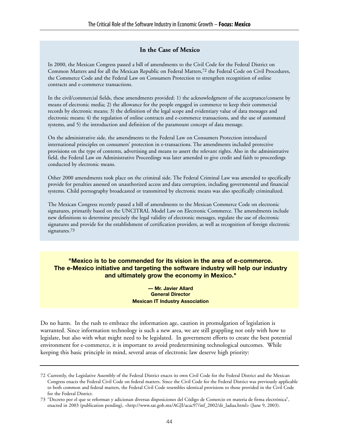#### **In the Case of Mexico**

In 2000, the Mexican Congress passed a bill of amendments to the Civil Code for the Federal District on Common Matters and for all the Mexican Republic on Federal Matters,72 the Federal Code on Civil Procedures, the Commerce Code and the Federal Law on Consumers Protection to strengthen recognition of online contracts and e-commerce transactions.

In the civil/commercial fields, these amendments provided: 1) the acknowledgment of the acceptance/consent by means of electronic media; 2) the allowance for the people engaged in commerce to keep their commercial records by electronic means; 3) the definition of the legal scope and evidentiary value of data messages and electronic means; 4) the regulation of online contracts and e-commerce transactions, and the use of automated systems, and 5) the introduction and definition of the paramount concept of data message.

On the administrative side, the amendments to the Federal Law on Consumers Protection introduced international principles on consumers' protection in e-transactions. The amendments included protective provisions on the type of contents, advertising and means to assert the relevant rights. Also in the administrative field, the Federal Law on Administrative Proceedings was later amended to give credit and faith to proceedings conducted by electronic means.

Other 2000 amendments took place on the criminal side. The Federal Criminal Law was amended to specifically provide for penalties assessed on unauthorized access and data corruption, including governmental and financial systems. Child pornography broadcasted or transmitted by electronic means was also specifically criminalized.

The Mexican Congress recently passed a bill of amendments to the Mexican Commerce Code on electronic signatures, primarily based on the UNCITRAL Model Law on Electronic Commerce. The amendments include new definitions to determine precisely the legal validity of electronic messages, regulate the use of electronic signatures and provide for the establishment of certification providers, as well as recognition of foreign electronic signatures.73

#### **"Mexico is to be commended for its vision in the area of e-commerce. The e-Mexico initiative and targeting the software industry will help our industry and ultimately grow the economy in Mexico."**

**— Mr. Javier Allard General Director Mexican IT Industry Association** 

Do no harm. In the rush to embrace the information age, caution in promulgation of legislation is warranted. Since information technology is such a new area, we are still grappling not only with how to legislate, but also with what might need to be legislated. In government efforts to create the best potential environment for e-commerce, it is important to avoid predetermining technological outcomes. While keeping this basic principle in mind, several areas of electronic law deserve high priority:

<sup>72</sup> Currently, the Legislative Assembly of the Federal District enacts its own Civil Code for the Federal District and the Mexican Congress enacts the Federal Civil Code on federal matters. Since the Civil Code for the Federal District was previously applicable to both common and federal matters, the Federal Civil Code resembles identical provisions to those provided in the Civil Code for the Federal District.

<sup>73 &</sup>quot;Decreto por el que se reforman y adicionan diversas disposiciones del Código de Comercio en materia de firma electrónica", enacted in 2003 (publication pending), <http://www.sat.gob.mx/AGJI/acac97/inf\_2002/dr\_ladua.html> (June 9, 2003).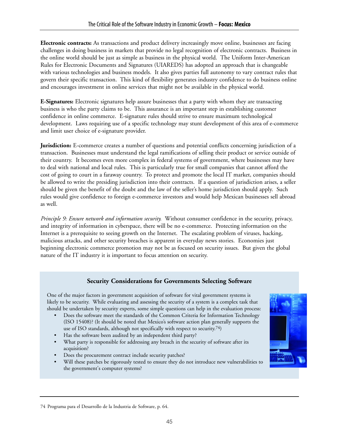**Electronic contracts:** As transactions and product delivery increasingly move online, businesses are facing challenges in doing business in markets that provide no legal recognition of electronic contracts. Business in the online world should be just as simple as business in the physical world. The Uniform Inter-American Rules for Electronic Documents and Signatures (UIAREDS) has adopted an approach that is changeable with various technologies and business models. It also gives parties full autonomy to vary contract rules that govern their specific transaction. This kind of flexibility generates industry confidence to do business online and encourages investment in online services that might not be available in the physical world.

**E-Signatures:** Electronic signatures help assure businesses that a party with whom they are transacting business is who the party claims to be. This assurance is an important step in establishing customer confidence in online commerce. E-signature rules should strive to ensure maximum technological development. Laws requiring use of a specific technology may stunt development of this area of e-commerce and limit user choice of e-signature provider.

**Jurisdiction:** E-commerce creates a number of questions and potential conflicts concerning jurisdiction of a transaction. Businesses must understand the legal ramifications of selling their product or service outside of their country. It becomes even more complex in federal systems of government, where businesses may have to deal with national and local rules. This is particularly true for small companies that cannot afford the cost of going to court in a faraway country. To protect and promote the local IT market, companies should be allowed to write the presiding jurisdiction into their contracts. If a question of jurisdiction arises, a seller should be given the benefit of the doubt and the law of the seller's home jurisdiction should apply. Such rules would give confidence to foreign e-commerce investors and would help Mexican businesses sell abroad as well.

*Principle 9: Ensure network and information security.* Without consumer confidence in the security, privacy, and integrity of information in cyberspace, there will be no e-commerce. Protecting information on the Internet is a prerequisite to seeing growth on the Internet. The escalating problem of viruses, hacking, malicious attacks, and other security breaches is apparent in everyday news stories. Economies just beginning electronic commerce promotion may not be as focused on security issues. But given the global nature of the IT industry it is important to focus attention on security.

## **Security Considerations for Governments Selecting Software**

One of the major factors in government acquisition of software for vital government systems is likely to be security. While evaluating and assessing the security of a system is a complex task that should be undertaken by security experts, some simple questions can help in the evaluation process:

- Does the software meet the standards of the Common Criteria for Information Technology (ISO 15408)? (It should be noted that Mexico's software action plan generally supports the use of ISO standards, although not specifically with respect to security.74)
- Has the software been audited by an independent third party?
- What party is responsible for addressing any breach in the security of software after its acquisition?
- Does the procurement contract include security patches?
- Will these patches be rigorously tested to ensure they do not introduce new vulnerabilities to the government's computer systems?



<sup>74</sup> Programa para el Desarrollo de la Industria de Software, p. 64.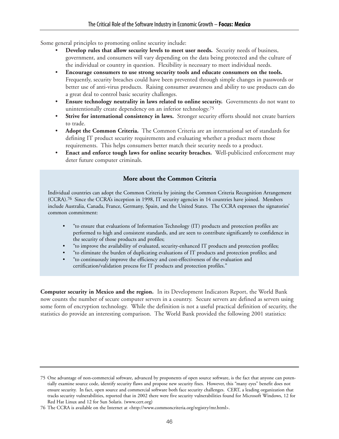Some general principles to promoting online security include:

- **Develop rules that allow security levels to meet user needs.** Security needs of business, government, and consumers will vary depending on the data being protected and the culture of the individual or country in question. Flexibility is necessary to meet individual needs.
- **Encourage consumers to use strong security tools and educate consumers on the tools.** Frequently, security breaches could have been prevented through simple changes in passwords or better use of anti-virus products. Raising consumer awareness and ability to use products can do a great deal to control basic security challenges.
- **Ensure technology neutrality in laws related to online security.** Governments do not want to unintentionally create dependency on an inferior technology.75
- Strive for international consistency in laws. Stronger security efforts should not create barriers to trade.
- **Adopt the Common Criteria.** The Common Criteria are an international set of standards for defining IT product security requirements and evaluating whether a product meets those requirements. This helps consumers better match their security needs to a product.
- **Enact and enforce tough laws for online security breaches.** Well-publicized enforcement may deter future computer criminals.

## **More about the Common Criteria**

Individual countries can adopt the Common Criteria by joining the Common Criteria Recognition Arrangement (CCRA).76 Since the CCRA's inception in 1998, IT security agencies in 14 countries have joined. Members include Australia, Canada, France, Germany, Spain, and the United States. The CCRA expresses the signatories' common commitment:

- "to ensure that evaluations of Information Technology (IT) products and protection profiles are performed to high and consistent standards, and are seen to contribute significantly to confidence in the security of those products and profiles;
- "to improve the availability of evaluated, security-enhanced IT products and protection profiles;
- "to eliminate the burden of duplicating evaluations of IT products and protection profiles; and
- "to continuously improve the efficiency and cost-effectiveness of the evaluation and certification/validation process for IT products and protection profiles."

**Computer security in Mexico and the region.** In its Development Indicators Report, the World Bank now counts the number of secure computer servers in a country. Secure servers are defined as servers using some form of encryption technology. While the definition is not a useful practical definition of security, the statistics do provide an interesting comparison. The World Bank provided the following 2001 statistics:

<sup>75</sup> One advantage of non-commercial software, advanced by proponents of open source software, is the fact that anyone can potentially examine source code, identify security flaws and propose new security fixes. However, this "many eyes" benefit does not ensure security. In fact, open source and commercial software both face security challenges. CERT, a leading organization that tracks security vulnerabilities, reported that in 2002 there were five security vulnerabilities found for Microsoft Windows, 12 for Red Hat Linux and 12 for Sun Solaris. (www.cert.org)

<sup>76</sup> The CCRA is available on the Internet at <http://www.commoncriteria.org/registry/mr.html>.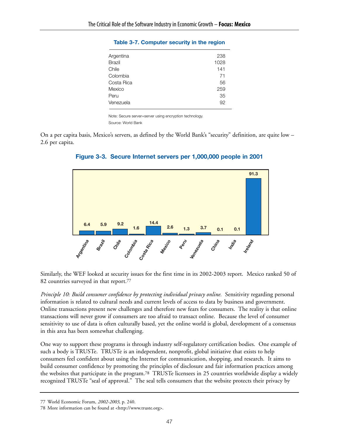| Argentina     | 238  |
|---------------|------|
| <b>Brazil</b> | 1028 |
| Chile         | 141  |
| Colombia      | 71   |
| Costa Rica    | 56   |
| Mexico        | 259  |
| Peru          | 35   |
| Venezuela     | 92   |
|               |      |

#### **Table 3-7. Computer security in the region**

Note: Secure server=server using encryption technology. Source: World Bank

On a per capita basis, Mexico's servers, as defined by the World Bank's "security" definition, are quite low – 2.6 per capita.



## **Figure 3-3. Secure Internet servers per 1,000,000 people in 2001**

Similarly, the WEF looked at security issues for the first time in its 2002-2003 report. Mexico ranked 50 of 82 countries surveyed in that report.77

*Principle 10: Build consumer confidence by protecting individual privacy online.* Sensitivity regarding personal information is related to cultural needs and current levels of access to data by business and government. Online transactions present new challenges and therefore new fears for consumers. The reality is that online transactions will never grow if consumers are too afraid to transact online. Because the level of consumer sensitivity to use of data is often culturally based, yet the online world is global, development of a consensus in this area has been somewhat challenging.

One way to support these programs is through industry self-regulatory certification bodies. One example of such a body is TRUSTe. TRUSTe is an independent, nonprofit, global initiative that exists to help consumers feel confident about using the Internet for communication, shopping, and research. It aims to build consumer confidence by promoting the principles of disclosure and fair information practices among the websites that participate in the program.78 TRUSTe licensees in 25 countries worldwide display a widely recognized TRUSTe "seal of approval." The seal tells consumers that the website protects their privacy by

<sup>77</sup> World Economic Forum, *2002-2003*, p. 240.

<sup>78</sup> More information can be found at <http://www.truste.org>.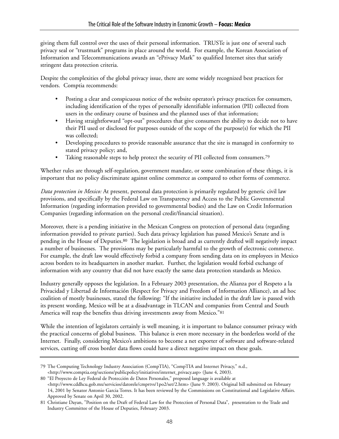giving them full control over the uses of their personal information. TRUSTe is just one of several such privacy seal or "trustmark" programs in place around the world. For example, the Korean Association of Information and Telecommunications awards an "ePrivacy Mark" to qualified Internet sites that satisfy stringent data protection criteria.

Despite the complexities of the global privacy issue, there are some widely recognized best practices for vendors. Comptia recommends:

- Posting a clear and conspicuous notice of the website operator's privacy practices for consumers, including identification of the types of personally identifiable information (PII) collected from users in the ordinary course of business and the planned uses of that information;
- Having straightforward "opt-out" procedures that give consumers the ability to decide not to have their PII used or disclosed for purposes outside of the scope of the purpose(s) for which the PII was collected;
- Developing procedures to provide reasonable assurance that the site is managed in conformity to stated privacy policy; and,
- Taking reasonable steps to help protect the security of PII collected from consumers.<sup>79</sup>

Whether rules are through self-regulation, government mandate, or some combination of these things, it is important that no policy discriminate against online commerce as compared to other forms of commerce.

*Data protection in Mexico:* At present, personal data protection is primarily regulated by generic civil law provisions, and specifically by the Federal Law on Transparency and Access to the Public Governmental Information (regarding information provided to governmental bodies) and the Law on Credit Information Companies (regarding information on the personal credit/financial situation).

Moreover, there is a pending initiative in the Mexican Congress on protection of personal data (regarding information provided to private parties). Such data privacy legislation has passed Mexico's Senate and is pending in the House of Deputies.80 The legislation is broad and as currently drafted will negatively impact a number of businesses. The provisions may be particularly harmful to the growth of electronic commerce. For example, the draft law would effectively forbid a company from sending data on its employees in Mexico across borders to its headquarters in another market. Further, the legislation would forbid exchange of information with any country that did not have exactly the same data protection standards as Mexico.

Industry generally opposes the legislation. In a February 2003 presentation, the Alianza por el Respeto a la Privacidad y Libertad de Información (Respect for Privacy and Freedom of Information Alliance), an ad hoc coalition of mostly businesses, stated the following: "If the initiative included in the draft law is passed with its present wording, Mexico will be at a disadvantage in TLCAN and companies from Central and South America will reap the benefits thus driving investments away from Mexico."81

While the intention of legislators certainly is well meaning, it is important to balance consumer privacy with the practical concerns of global business. This balance is even more necessary in the borderless world of the Internet. Finally, considering Mexico's ambitions to become a net exporter of software and software-related services, cutting off cross border data flows could have a direct negative impact on these goals.

<sup>79</sup> The Computing Technology Industry Association (CompTIA), "CompTIA and Internet Privacy," n.d., <http://www.comptia.org/sections/publicpolicy/initiatives/internet\_privacy.asp> (June 4, 2003).

<sup>80 &</sup>quot;El Proyecto de Ley Federal de Protección de Datos Personales," proposed language is available at

<sup>&</sup>lt;http://www.cddhcu.gob.mx/servicios/datorele/cmprtvs/1po2/set/2.htm> (June 9. 2003). Original bill submitted on February 14, 2001 by Senator Antonio Garcia Torres. It has been reviewed by the Commissions on Constitutional and Legislative Affairs. Approved by Senate on April 30, 2002.

<sup>81</sup> Christiane Dayan, "Position on the Draft of Federal Law for the Protection of Personal Data", presentation to the Trade and Industry Committee of the House of Deputies, February 2003.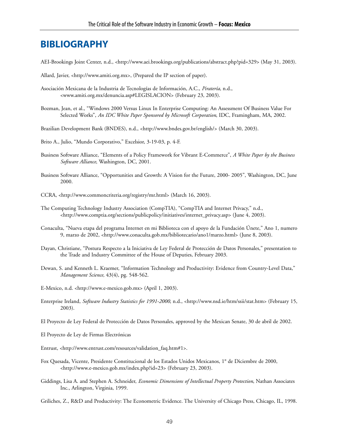## **BIBLIOGRAPHY**

AEI-Brookings Joint Center, n.d., <http://www.aei.brookings.org/publications/abstract.php?pid=329> (May 31, 2003).

Allard, Javier, <http://www.amiti.org.mx>, (Prepared the IP section of paper).

- Asociación Mexicana de la Industria de Tecnologías de Información, A.C., *Piratería*, n.d., <www.amiti.org.mx/denuncia.asp#LEGISLACION> (February 23, 2003).
- Bozman, Jean, et al., "Windows 2000 Versus Linux In Enterprise Computing: An Assessment Of Business Value For Selected Works", *An IDC White Paper Sponsored by Microsoft Corporation*, IDC, Framingham, MA, 2002.
- Brazilian Development Bank (BNDES), n.d., <http://www.bndes.gov.br/english/> (March 30, 2003).

Brito A., Julio, "Mundo Corporativo," Excelsior, 3-19-03, p. 4-F.

- Business Software Alliance, "Elements of a Policy Framework for Vibrant E-Commerce", *A White Paper by the Business Software Alliance*, Washington, DC, 2001.
- Business Software Alliance, "Opportunities and Growth: A Vision for the Future, 2000- 2005", Washington, DC, June 2000.
- CCRA, <http://www.commoncriteria.org/registry/mr.html> (March 16, 2003).
- The Computing Technology Industry Association (CompTIA), "CompTIA and Internet Privacy," n.d., <http://www.comptia.org/sections/publicpolicy/initiatives/internet\_privacy.asp> (June 4, 2003).
- Conaculta, "Nueva etapa del programa Internet en mi Biblioteca con el apoyo de la Fundación Únete," Ano 1, numero 9, marzo de 2002, <http://www.conaculta.gob.mx/bibliotecario/ano1/marzo.html> (June 8, 2003).
- Dayan, Christiane, "Postura Respecto a la Iniciativa de Ley Federal de Protección de Datos Personales," presentation to the Trade and Industry Committee of the House of Deputies, February 2003.
- Dewan, S. and Kenneth L. Kraemer, "Information Technology and Productivity: Evidence from Country-Level Data," *Management Science,* 43(4), pg. 548-562.
- E-Mexico, n.d. <http://www.e-mexico.gob.mx> (April 1, 2003).
- Enterprise Ireland, *Software Industry Statistics for 1991-2000*, n.d., <http://www.nsd.ie/htm/ssii/stat.htm> (February 15, 2003).
- El Proyecto de Ley Federal de Protección de Datos Personales, approved by the Mexican Senate, 30 de abril de 2002.
- El Proyecto de Ley de Firmas Electrónicas
- Entrust, <http://www.entrust.com/resources/validation\_faq.htm#1>.
- Fox Quesada, Vicente, Presidente Constitucional de los Estados Unidos Mexicanos, 1° de Diciembre de 2000, <http://www.e-mexico.gob.mx/index.php?id=23> (February 23, 2003).
- Giddings, Lisa A. and Stephen A. Schneider, *Economic Dimensions of Intellectual Property Protection*, Nathan Associates Inc., Arlington, Virginia, 1999.

Griliches, Z., R&D and Productivity: The Econometric Evidence. The University of Chicago Press, Chicago, IL, 1998.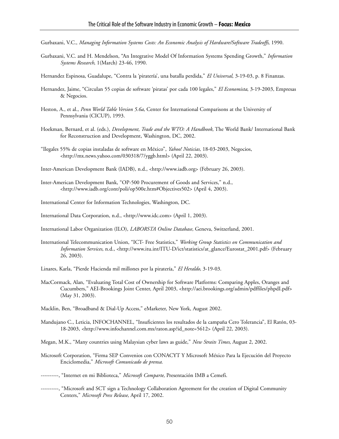- Gurbaxani, V.C., *Managing Information Systems Costs: An Economic Analysis of Hardware/Software Tradeoffs*, 1990.
- Gurbaxani, V.C. and H. Mendelson, "An Integrative Model Of Information Systems Spending Growth," *Information Systems Research*, 1(March) 23-46, 1990.
- Hernandez Espinosa, Guadalupe, "Contra la 'piratería', una batalla perdida," *El Universal*, 3-19-03, p. 8 Finanzas.
- Hernandez, Jaime, "Circulan 55 copias de software 'piratas' por cada 100 legales," *El Economista*, 3-19-2003, Empresas & Negocios.
- Heston, A., et al., *Penn World Table Version 5.6a*, Center for International Comparisons at the University of Pennsylvania (CICUP), 1993.
- Hoekman, Bernard, et al. (eds.), *Development, Trade and the WTO: A Handbook*, The World Bank/ International Bank for Reconstruction and Development, Washington, DC, 2002.
- "Ilegales 55% de copias instaladas de software en México", *Yahoo! Noticias,* 18-03-2003, Negocios, <http://mx.news.yahoo.com/030318/7/yggb.html> (April 22, 2003).
- Inter-American Development Bank (IADB), n.d., <http://www.iadb.org> (February 26, 2003).
- Inter-American Development Bank, "OP-500 Procurement of Goods and Services," n.d., <http://www.iadb.org/cont/poli/op500e.htm#Objectives502> (April 4, 2003).
- International Center for Information Technologies, Washington, DC.
- International Data Corporation, n.d., <http://www.idc.com> (April 1, 2003).
- International Labor Organization (ILO), *LABORSTA Online Database,* Geneva, Switzerland, 2001.
- International Telecommunication Union, "ICT- Free Statistics," *Working Group Statistics on Communication and Information Services*, n.d., <http://www.itu.int/ITU-D/ict/statistics/at\_glance/Eurostat\_2001.pdf> (February 26, 2003).
- Linares, Karla, "Pierde Hacienda mil millones por la piratería," *El Heraldo,* 3-19-03.
- MacCormack, Alan, "Evaluating Total Cost of Ownership for Software Platforms: Comparing Apples, Oranges and Cucumbers," AEI-Brookings Joint Center, April 2003, <http://aei.brookings.org/admin/pdffiles/phpdI.pdf> (May 31, 2003).
- Macklin, Ben, "Broadband & Dial-Up Access," eMarketer, New York, August 2002.
- Mandujano C., Leticia, INFOCHANNEL, "Insuficientes los resultados de la campaña Cero Tolerancia", El Ratón, 03- 18-2003, <http://www.infochannel.com.mx/raton.asp?id\_note=5612> (April 22, 2003).
- Megan, M.K., "Many countries using Malaysian cyber laws as guide," *New Straits Times*, August 2, 2002.
- Microsoft Corporation, "Firma SEP Convenios con CONACYT Y Microsoft México Para la Ejecución del Proyecto Enciclomedia," *Microsoft Comunicado de prensa.*
- ----------, "Internet en mi Biblioteca," *Microsoft Comparte*, Presentación IMB a Cemefi.
- ----------, "Microsoft and SCT sign a Technology Collaboration Agreement for the creation of Digital Community Centers," *Microsoft Press Release*, April 17, 2002.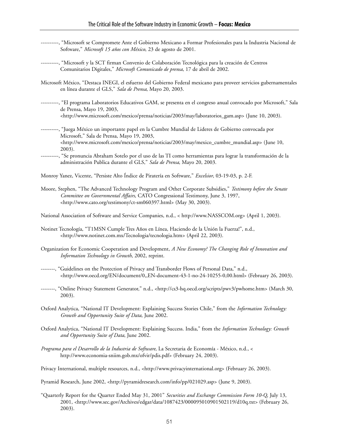- ----------, "Microsoft se Compromete Ante el Gobierno Mexicano a Formar Profesionales para la Industria Nacional de Software," *Microsoft 15 años con México*, 23 de agosto de 2001.
- ----------, "Microsoft y la SCT firman Convenio de Colaboración Tecnológica para la creación de Centros Comunitarios Digitales," *Microsoft Comunicado de prensa*, 17 de abril de 2002.
- Microsoft México, "Destaca INEGI, el esfuerzo del Gobierno Federal mexicano para proveer servicios gubernamentales en línea durante el GLS," *Sala de Prensa*, Mayo 20, 2003.
- ----------, "El programa Laboratorios Educativos GAM, se presenta en el congreso anual convocado por Microsoft," Sala de Prensa, Mayo 19, 2003, <http://www.microsoft.com/mexico/prensa/noticias/2003/may/laboratorios\_gam.asp> (June 10, 2003).
- ----------, "Juega México un importante papel en la Cumbre Mundial de Lideres de Gobierno convocada por Microsoft," Sala de Prensa, Mayo 19, 2003, <http://www.microsoft.com/mexico/prensa/noticias/2003/may/mexico\_cumbre\_mundial.asp> (June 10, 2003).
- ----------, "Se pronuncia Abraham Sotelo por el uso de las TI como herramientas para lograr la transformación de la administración Publica durante el GLS," *Sala de Prensa*, Mayo 20, 2003.

Monroy Yanez, Vicente, "Persiste Alto Índice de Piratería en Software," *Excelsior*, 03-19-03, p. 2-F.

Moore, Stephen, "The Advanced Technology Program and Other Corporate Subsidies," *Testimony before the Senate Committee on Governmental Affairs*, CATO Congressional Testimony, June 3, 1997, <http://www.cato.org/testimony/ct-sm060397.html> (May 30, 2003).

National Association of Software and Service Companies, n.d., < http://www.NASSCOM.org> (April 1, 2003).

- Notinet Tecnología, "T1MSN Cumple Tres Años en Línea, Haciendo de la Unión la Fuerza!", n.d., <http://www.notinet.com.mx/Tecnologia/tecnologia.htm> (April 22, 2003).
- Organization for Economic Cooperation and Development, *A New Economy? The Changing Role of Innovation and Information Technology in Growth*, 2002, reprint.

--------, "Guidelines on the Protection of Privacy and Transborder Flows of Personal Data," n.d., <http://www.oecd.org/EN/document/0,,EN-document-43-1-no-24-10255-0,00.html> (February 26, 2003).

- --------, "Online Privacy Statement Generator," n.d., <http://cs3-hq.oecd.org/scripts/pwv3/pwhome.htm> (March 30, 2003).
- Oxford Analytica, "National IT Development: Explaining Success Stories Chile," from the *Information Technology: Growth and Opportunity Suite of Data*, June 2002.
- Oxford Analytica, "National IT Development: Explaining Success. India," from the *Information Technology: Growth and Opportunity Suite of Data*, June 2002.
- *Programa para el Desarrollo de la Industria de Software*, La Secretaria de Economía México, n.d., < http://www.economia-sniim.gob.mx/ofvir/pdis.pdf> (February 24, 2003).
- Privacy International, multiple resources, n.d., <http://www.privacyinternational.org> (February 26, 2003).

Pyramid Research, June 2002, <http://pyramidresearch.com/info/pp/021029.asp> (June 9, 2003).

"Quarterly Report for the Quarter Ended May 31, 2001" *Securities and Exchange Commission Form 10-Q*, July 13, 2001, <http://www.sec.gov/Archives/edgar/data/1087423/000095010901502119/d10q.txt> (February 26, 2003).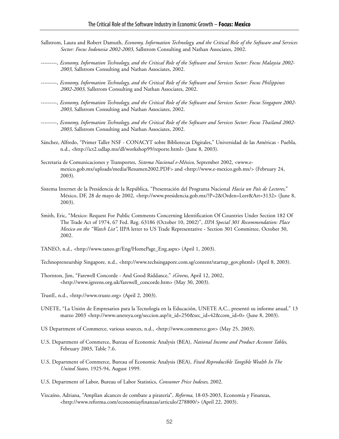- Sallstrom, Laura and Robert Damuth, *Economy, Information Technology, and the Critical Role of the Software and Services Sector: Focus Indonesia 2002-2003*, Sallstrom Consulting and Nathan Associates, 2002.
- ---------, *Economy, Information Technology, and the Critical Role of the Software and Services Sector: Focus Malaysia 2002- 2003*, Sallstrom Consulting and Nathan Associates, 2002.
- ---------, *Economy, Information Technology, and the Critical Role of the Software and Services Sector: Focus Philippines 2002-2003*, Sallstrom Consulting and Nathan Associates, 2002.
- ---------, *Economy, Information Technology, and the Critical Role of the Software and Services Sector: Focus Singapore 2002- 2003*, Sallstrom Consulting and Nathan Associates, 2002.
- ---------, *Economy, Information Technology, and the Critical Role of the Software and Services Sector: Focus Thailand 2002- 2003*, Sallstrom Consulting and Nathan Associates, 2002.
- Sánchez, Alfredo, "Primer Taller NSF CONACYT sobre Bibliotecas Digitales," Universidad de las Américas Puebla, n.d., <http://ict2.udlap.mx/dl/workshop99/reporte.html> (June 8, 2003).
- Secretaria de Comunicaciones y Transportes, *Sistema Nacional e-México*, September 2002, <www.emexico.gob.mx/uploads/media/Resumen2002.PDF> and <http://www.e-mexico.gob.mx/> (February 24, 2003).
- Sistema Internet de la Presidencia de la República, "Presentación del Programa Nacional *Hacia un País de Lectores*," México, DF, 28 de mayo de 2002, <http://www.presidencia.gob.mx/?P=2&Orden=Leer&Art=3132> (June 8, 2003).
- Smith, Eric, "Mexico: Request For Public Comments Concerning Identification Of Countries Under Section 182 Of The Trade Act of 1974, 67 Fed. Reg. 63186 (October 10, 2002)", *IIPA Special 301 Recommendation: Place Mexico on the "Watch List"*, IIPA letter to US Trade Representative - Section 301 Committee, October 30, 2002.
- TANEO, n.d., <http://www.taneo.gr/Eng/HomePage\_Eng.aspx> (April 1, 2003).
- Technopreneurship Singapore, n.d., <http://www.techsingapore.com.sg/content/startup\_gov.phtml> (April 8, 2003).
- Thornton, Jim, "Farewell Concorde And Good Riddance," *iGreens*, April 12, 2002, <http://www.igreens.org.uk/farewell\_concorde.htm> (May 30, 2003).
- TrustE, n.d., <http://www.truste.org> (April 2, 2003).
- UNETE, "La Unión de Empresarios para la Tecnología en la Educación, UNETE A.C., presentó su informe anual," 13 marzo 2003 <http://www.uneteya.org/seccion.asp?it\_id=250&sec\_id=42&com\_id=0> (June 8, 2003).
- US Department of Commerce, various sources, n.d., <http://www.commerce.gov> (May 25, 2003).
- U.S. Department of Commerce, Bureau of Economic Analysis (BEA), *National Income and Product Account Tables*, February 2003, Table 7.6.
- U.S. Department of Commerce, Bureau of Economic Analysis (BEA), *Fixed Reproducible Tangible Wealth In The United States,* 1925-94, August 1999.
- U.S. Department of Labor, Bureau of Labor Statistics, *Consumer Price Indexes*, 2002.
- Vizcaíno, Adriana, "Amplían alcances de combate a piratería", *Reforma*, 18-03-2003, Economía y Finanzas, <http://www.reforma.com/economiayfinanzas/articulo/278800/> (April 22, 2003).